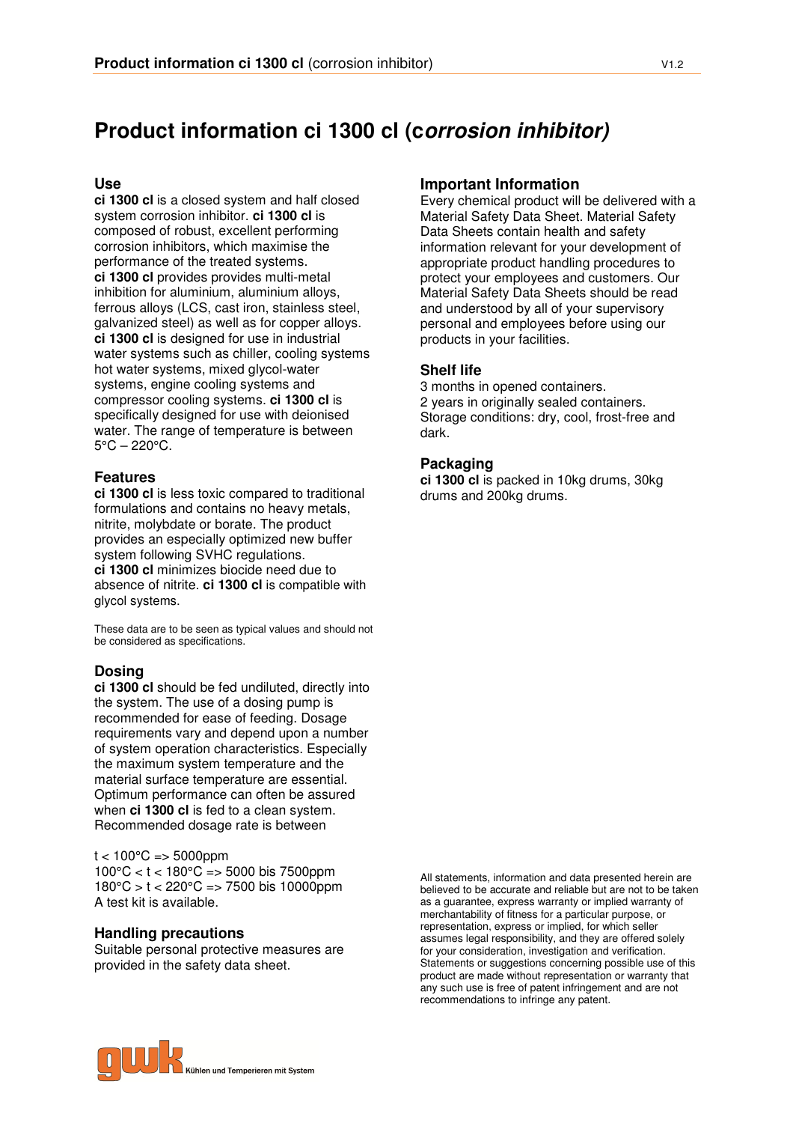# **Product information ci 1300 cl (corrosion inhibitor)**

#### **Use**

**ci 1300 cl** is a closed system and half closed system corrosion inhibitor. **ci 1300 cl** is composed of robust, excellent performing corrosion inhibitors, which maximise the performance of the treated systems. **ci 1300 cl** provides provides multi-metal inhibition for aluminium, aluminium alloys, ferrous alloys (LCS, cast iron, stainless steel, galvanized steel) as well as for copper alloys. **ci 1300 cl** is designed for use in industrial water systems such as chiller, cooling systems hot water systems, mixed glycol-water systems, engine cooling systems and compressor cooling systems. **ci 1300 cl** is specifically designed for use with deionised water. The range of temperature is between  $5^{\circ}$ C – 220 $^{\circ}$ C.

### **Features**

**ci 1300 cl** is less toxic compared to traditional formulations and contains no heavy metals, nitrite, molybdate or borate. The product provides an especially optimized new buffer system following SVHC regulations. **ci 1300 cl** minimizes biocide need due to absence of nitrite. **ci 1300 cl** is compatible with glycol systems.

These data are to be seen as typical values and should not be considered as specifications.

## **Dosing**

**ci 1300 cl** should be fed undiluted, directly into the system. The use of a dosing pump is recommended for ease of feeding. Dosage requirements vary and depend upon a number of system operation characteristics. Especially the maximum system temperature and the material surface temperature are essential. Optimum performance can often be assured when **ci 1300 cl** is fed to a clean system. Recommended dosage rate is between

 $t < 100^{\circ}$ C = > 5000ppm 100°C < t < 180°C => 5000 bis 7500ppm 180°C > t < 220°C => 7500 bis 10000ppm A test kit is available.

#### **Handling precautions**

Suitable personal protective measures are provided in the safety data sheet.

### **Important Information**

Every chemical product will be delivered with a Material Safety Data Sheet. Material Safety Data Sheets contain health and safety information relevant for your development of appropriate product handling procedures to protect your employees and customers. Our Material Safety Data Sheets should be read and understood by all of your supervisory personal and employees before using our products in your facilities.

#### **Shelf life**

3 months in opened containers. 2 years in originally sealed containers. Storage conditions: dry, cool, frost-free and dark.

#### **Packaging**

**ci 1300 cl** is packed in 10kg drums, 30kg drums and 200kg drums.

All statements, information and data presented herein are believed to be accurate and reliable but are not to be taken as a guarantee, express warranty or implied warranty of merchantability of fitness for a particular purpose, or representation, express or implied, for which seller assumes legal responsibility, and they are offered solely for your consideration, investigation and verification. Statements or suggestions concerning possible use of this product are made without representation or warranty that any such use is free of patent infringement and are not recommendations to infringe any patent.

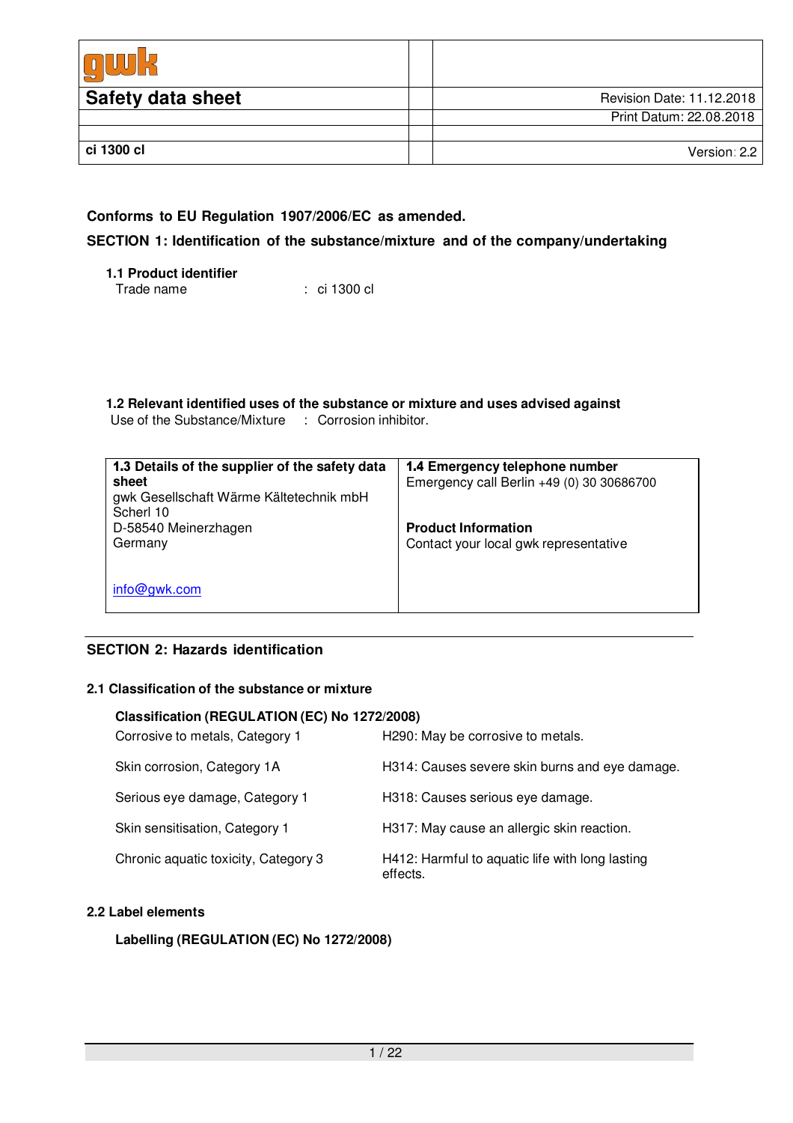| <b>Safety data sheet</b> | Revision Date: 11.12.2018 |
|--------------------------|---------------------------|
|                          | Print Datum: 22.08.2018   |
|                          |                           |
| ci 1300 cl               | Version: 2.2              |

## **Conforms to EU Regulation 1907/2006/EC as amended.**

## **SECTION 1: Identification of the substance/mixture and of the company/undertaking**

**1.1 Product identifier** Trade name : ci 1300 cl

**1.2 Relevant identified uses of the substance or mixture and uses advised against** Use of the Substance/Mixture : Corrosion inhibitor.

| 1.3 Details of the supplier of the safety data<br>sheet<br>gwk Gesellschaft Wärme Kältetechnik mbH<br>Scherl 10 | 1.4 Emergency telephone number<br>Emergency call Berlin +49 (0) 30 30686700 |
|-----------------------------------------------------------------------------------------------------------------|-----------------------------------------------------------------------------|
| D-58540 Meinerzhagen<br>Germany                                                                                 | <b>Product Information</b><br>Contact your local gwk representative         |
|                                                                                                                 |                                                                             |
| info@gwk.com                                                                                                    |                                                                             |

## **SECTION 2: Hazards identification**

## **2.1 Classification of the substance or mixture**

#### **Classification (REGULATION (EC) No 1272/2008)**

| Corrosive to metals, Category 1      | H290: May be corrosive to metals.                           |
|--------------------------------------|-------------------------------------------------------------|
| Skin corrosion, Category 1A          | H314: Causes severe skin burns and eye damage.              |
| Serious eye damage, Category 1       | H318: Causes serious eye damage.                            |
| Skin sensitisation, Category 1       | H317: May cause an allergic skin reaction.                  |
| Chronic aquatic toxicity, Category 3 | H412: Harmful to aquatic life with long lasting<br>effects. |

## **2.2 Label elements**

## **Labelling (REGULATION (EC) No 1272/2008)**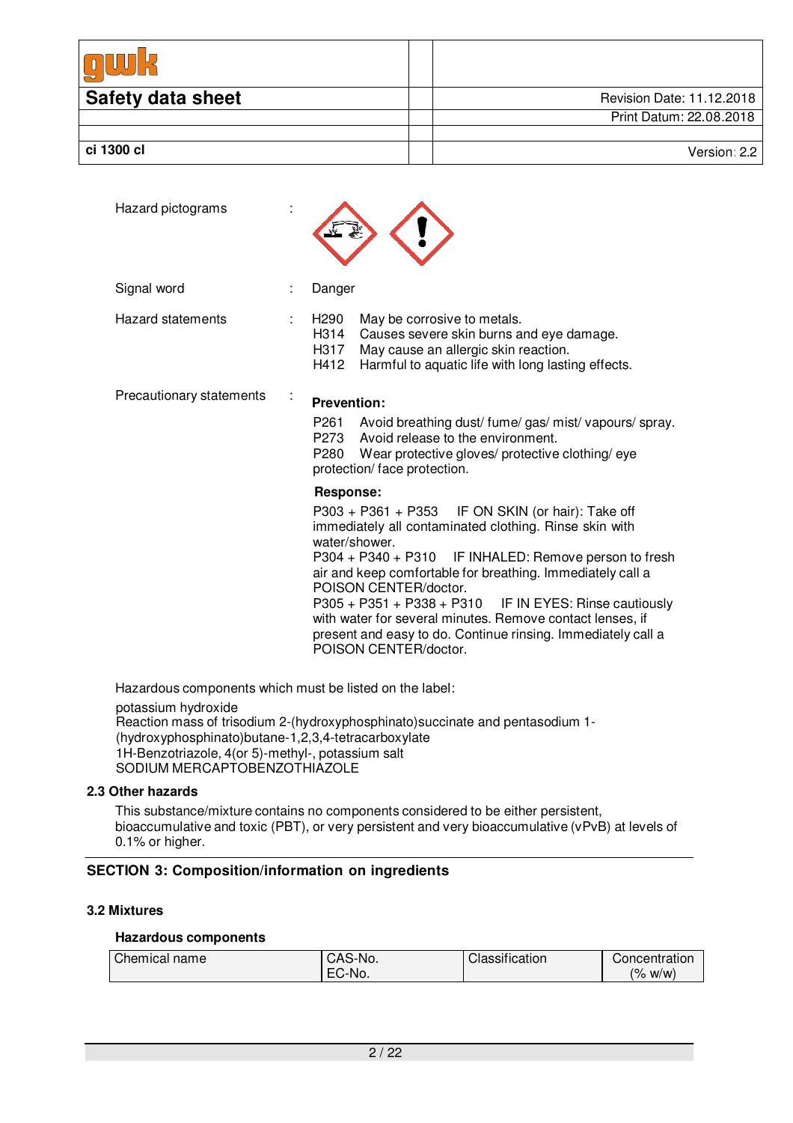| <b>Safety data sheet</b> | Revision Date: 11.12.2018 |
|--------------------------|---------------------------|
|                          | Print Datum: 22.08.2018   |
|                          |                           |
| ci 1300 cl               | Version: 2.2              |

| Hazard pictograms        |                                                                                                                                                                                                                                                                                                                                                                                                                                                                                                     |
|--------------------------|-----------------------------------------------------------------------------------------------------------------------------------------------------------------------------------------------------------------------------------------------------------------------------------------------------------------------------------------------------------------------------------------------------------------------------------------------------------------------------------------------------|
| Signal word              | Danger                                                                                                                                                                                                                                                                                                                                                                                                                                                                                              |
| <b>Hazard statements</b> | H290<br>May be corrosive to metals.<br>H314<br>Causes severe skin burns and eye damage.<br>H317<br>May cause an allergic skin reaction.<br>H412<br>Harmful to aquatic life with long lasting effects.                                                                                                                                                                                                                                                                                               |
| Precautionary statements | <b>Prevention:</b>                                                                                                                                                                                                                                                                                                                                                                                                                                                                                  |
|                          | P261<br>Avoid breathing dust/fume/gas/mist/vapours/spray.<br>P273 Avoid release to the environment.<br>P280 Wear protective gloves/ protective clothing/eye<br>protection/face protection.                                                                                                                                                                                                                                                                                                          |
|                          | <b>Response:</b>                                                                                                                                                                                                                                                                                                                                                                                                                                                                                    |
|                          | P303 + P361 + P353 IF ON SKIN (or hair): Take off<br>immediately all contaminated clothing. Rinse skin with<br>water/shower.<br>P304 + P340 + P310 IF INHALED: Remove person to fresh<br>air and keep comfortable for breathing. Immediately call a<br>POISON CENTER/doctor.<br>$P305 + P351 + P338 + P310$ IF IN EYES: Rinse cautiously<br>with water for several minutes. Remove contact lenses, if<br>present and easy to do. Continue rinsing. Immediately call a<br>POISON CENTER/doctor.<br>. |

Hazardous components which must be listed on the label:

potassium hydroxide Reaction mass of trisodium 2-(hydroxyphosphinato)succinate and pentasodium 1- (hydroxyphosphinato)butane-1,2,3,4-tetracarboxylate 1H-Benzotriazole, 4(or 5)-methyl-, potassium salt SODIUM MERCAPTOBÉNZOTHIAZOLE

### **2.3 Other hazards**

This substance/mixture contains no components considered to be either persistent, bioaccumulative and toxic (PBT), or very persistent and very bioaccumulative (vPvB) at levels of 0.1% or higher.

## **SECTION 3: Composition/information on ingredients**

#### **3.2 Mixtures**

## **Hazardous components**

| Chemical name | CAS-No. | $\cdots$<br>Classification | Concentration        |
|---------------|---------|----------------------------|----------------------|
|               | EC-No.  |                            | $\frac{1}{6}$<br>W/W |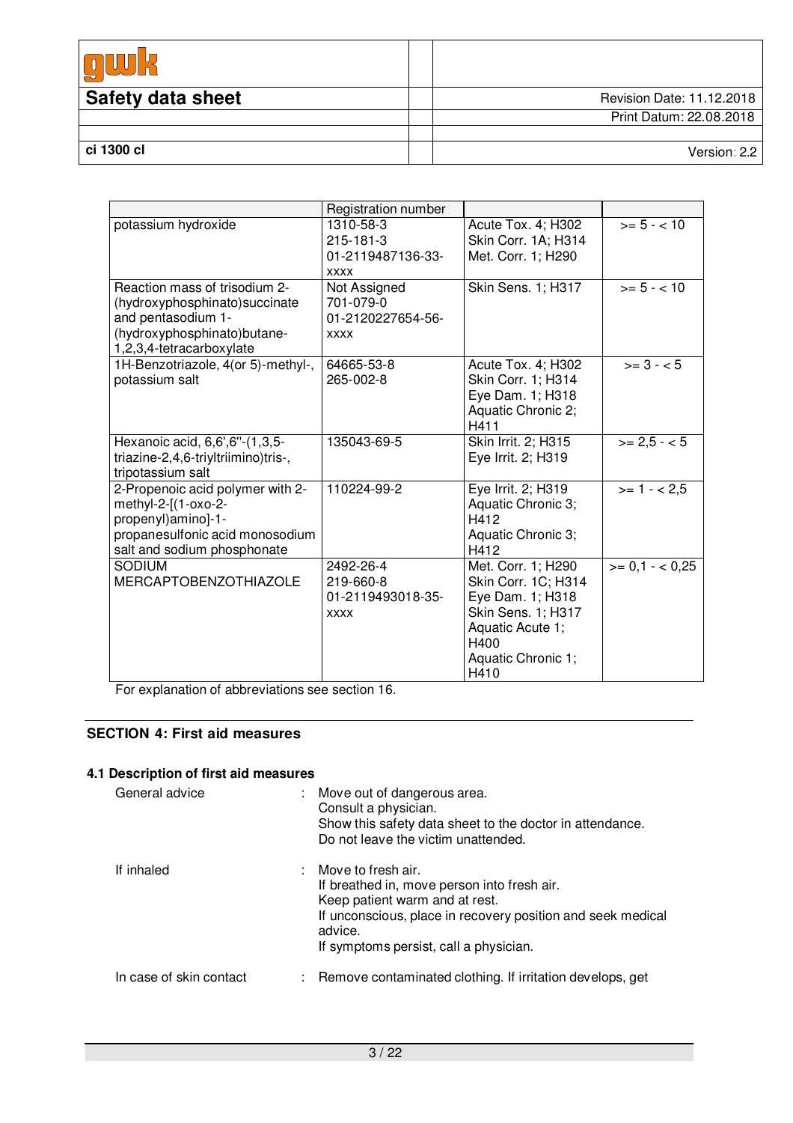| <b>Safety data sheet</b> | Revision Date: 11.12.2018 |
|--------------------------|---------------------------|
|                          | Print Datum: 22.08.2018   |
|                          |                           |
| ci 1300 cl               | Version: 2.2              |

|                                                                | Registration number         |                            |                   |
|----------------------------------------------------------------|-----------------------------|----------------------------|-------------------|
| potassium hydroxide                                            | 1310-58-3                   | Acute Tox. 4; H302         | $>= 5 - < 10$     |
|                                                                | $215 - 181 - 3$             | Skin Corr. 1A; H314        |                   |
|                                                                | 01-2119487136-33-           | Met. Corr. 1; H290         |                   |
| Reaction mass of trisodium 2-                                  | <b>XXXX</b><br>Not Assigned | Skin Sens. 1; H317         | $>= 5 - < 10$     |
| (hydroxyphosphinato) succinate                                 | 701-079-0                   |                            |                   |
| and pentasodium 1-                                             | 01-2120227654-56-           |                            |                   |
| (hydroxyphosphinato) butane-                                   | <b>XXXX</b>                 |                            |                   |
| 1,2,3,4-tetracarboxylate                                       |                             |                            |                   |
| 1H-Benzotriazole, 4(or 5)-methyl-,                             | 64665-53-8                  | Acute Tox. 4; H302         | $>= 3 - 5$        |
| potassium salt                                                 | 265-002-8                   | Skin Corr. 1; H314         |                   |
|                                                                |                             | Eye Dam. 1; H318           |                   |
|                                                                |                             | Aquatic Chronic 2;         |                   |
|                                                                |                             | H411                       |                   |
| Hexanoic acid, 6,6',6"-(1,3,5-                                 | 135043-69-5                 | Skin Irrit. 2; H315        | $>= 2.5 - 5$      |
| triazine-2,4,6-triyltriimino)tris-,                            |                             | Eye Irrit. 2; H319         |                   |
| tripotassium salt                                              |                             |                            |                   |
| 2-Propenoic acid polymer with 2-                               | 110224-99-2                 | Eye Irrit. 2; H319         | $>= 1 - 2.5$      |
| methyl-2-[(1-oxo-2-                                            |                             | Aquatic Chronic 3;         |                   |
| propenyl)amino]-1-                                             |                             | H412                       |                   |
| propanesulfonic acid monosodium<br>salt and sodium phosphonate |                             | Aquatic Chronic 3;<br>H412 |                   |
| <b>SODIUM</b>                                                  | 2492-26-4                   | Met. Corr. 1; H290         | $>= 0.1 - < 0.25$ |
| <b>MERCAPTOBENZOTHIAZOLE</b>                                   | 219-660-8                   | Skin Corr. 1C; H314        |                   |
|                                                                | 01-2119493018-35-           | Eye Dam. 1; H318           |                   |
|                                                                | <b>XXXX</b>                 | Skin Sens. 1; H317         |                   |
|                                                                |                             | Aquatic Acute 1;           |                   |
|                                                                |                             | H400                       |                   |
|                                                                |                             | Aquatic Chronic 1;         |                   |
|                                                                |                             | H410                       |                   |

For explanation of abbreviations see section 16.

## **SECTION 4: First aid measures**

## **4.1 Description of first aid measures**

| General advice          | Move out of dangerous area.<br>Consult a physician.<br>Show this safety data sheet to the doctor in attendance.<br>Do not leave the victim unattended.                                                                      |
|-------------------------|-----------------------------------------------------------------------------------------------------------------------------------------------------------------------------------------------------------------------------|
| If inhaled              | $:$ Move to fresh air.<br>If breathed in, move person into fresh air.<br>Keep patient warm and at rest.<br>If unconscious, place in recovery position and seek medical<br>advice.<br>If symptoms persist, call a physician. |
| In case of skin contact | : Remove contaminated clothing. If irritation develops, get                                                                                                                                                                 |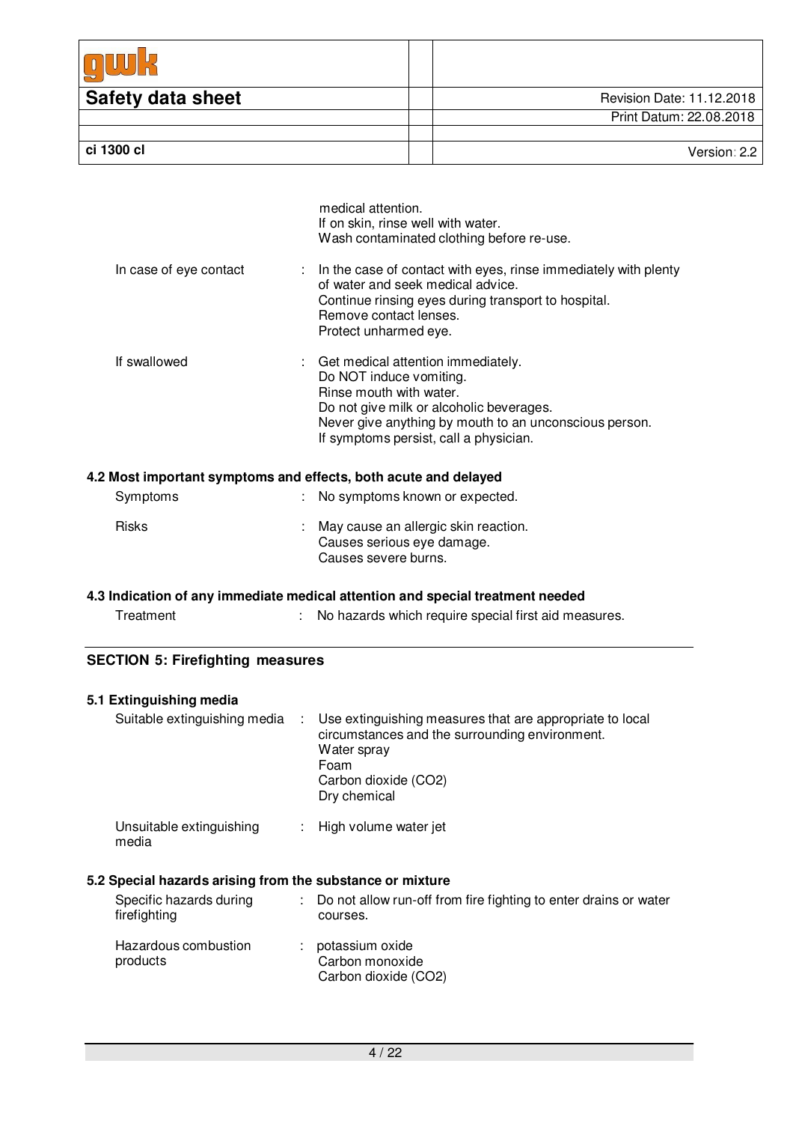| <b>Safety data sheet</b> | Revision Date: 11.12.2018 |
|--------------------------|---------------------------|
|                          | Print Datum: 22.08.2018   |
|                          |                           |
| ci 1300 cl               | Version: 2.2              |

|                        | If on skin, rinse well with water.<br>Wash contaminated clothing before re-use.                                                                                                                                                            |
|------------------------|--------------------------------------------------------------------------------------------------------------------------------------------------------------------------------------------------------------------------------------------|
| In case of eye contact | : In the case of contact with eyes, rinse immediately with plenty<br>of water and seek medical advice.<br>Continue rinsing eyes during transport to hospital.<br>Remove contact lenses.<br>Protect unharmed eye.                           |
| If swallowed           | : Get medical attention immediately.<br>Do NOT induce vomiting.<br>Rinse mouth with water.<br>Do not give milk or alcoholic beverages.<br>Never give anything by mouth to an unconscious person.<br>If symptoms persist, call a physician. |

medical attention.

## **4.2 Most important symptoms and effects, both acute and delayed**

| Symptoms     | : No symptoms known or expected.                                                             |
|--------------|----------------------------------------------------------------------------------------------|
| <b>Risks</b> | : May cause an allergic skin reaction.<br>Causes serious eye damage.<br>Causes severe burns. |

## **4.3 Indication of any immediate medical attention and special treatment needed**

| Treatment | No hazards which require special first aid measures. |
|-----------|------------------------------------------------------|

## **SECTION 5: Firefighting measures**

| 5.1 Extinguishing media                                   |                                                                                                                                                                             |
|-----------------------------------------------------------|-----------------------------------------------------------------------------------------------------------------------------------------------------------------------------|
| Suitable extinguishing media                              | : Use extinguishing measures that are appropriate to local<br>circumstances and the surrounding environment.<br>Water spray<br>Foam<br>Carbon dioxide (CO2)<br>Dry chemical |
| Unsuitable extinguishing<br>media                         | : High volume water jet                                                                                                                                                     |
| 5.2 Special hazards arising from the substance or mixture |                                                                                                                                                                             |
| Specific hazards during<br>firefighting                   | : Do not allow run-off from fire fighting to enter drains or water<br>courses.                                                                                              |
| Hazardous combustion<br>products                          | : potassium oxide<br>Carbon monoxide<br>Carbon dioxide (CO2)                                                                                                                |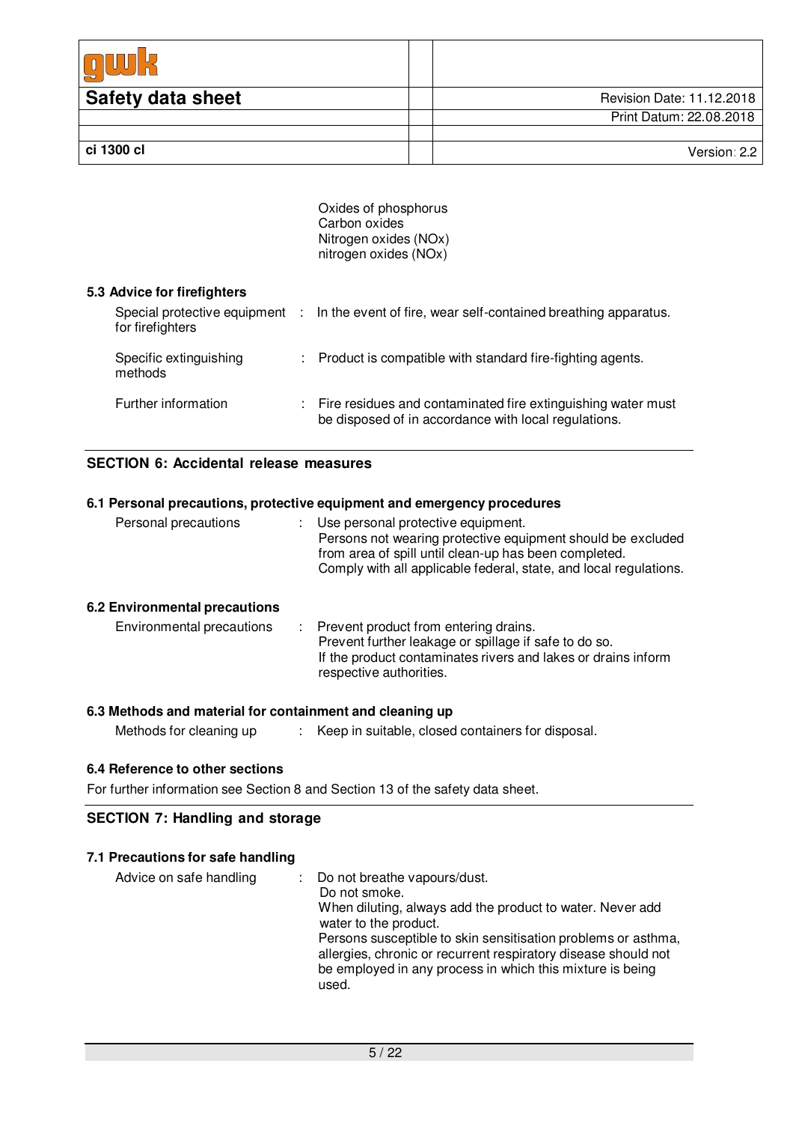| <b>Safety data sheet</b> | Revision Date: 11.12.2018 |
|--------------------------|---------------------------|
|                          | Print Datum: 22.08.2018   |
|                          |                           |
| ci 1300 cl               | Version: 2.2              |

Oxides of phosphorus Carbon oxides Nitrogen oxides (NOx) nitrogen oxides (NOx)

#### **5.3 Advice for firefighters**

| for firefighters                  | Special protective equipment : In the event of fire, wear self-contained breathing apparatus.                          |
|-----------------------------------|------------------------------------------------------------------------------------------------------------------------|
| Specific extinguishing<br>methods | : Product is compatible with standard fire-fighting agents.                                                            |
| Further information               | : Fire residues and contaminated fire extinguishing water must<br>be disposed of in accordance with local regulations. |

## **SECTION 6: Accidental release measures**

## **6.1 Personal precautions, protective equipment and emergency procedures** Personal precautions : Use personal protective equipment. Persons not wearing protective equipment should be excluded from area of spill until clean-up has been completed. Comply with all applicable federal, state, and local regulations. **6.2 Environmental precautions** Environmental precautions : Prevent product from entering drains. Prevent further leakage or spillage if safe to do so. If the product contaminates rivers and lakes or drains inform respective authorities.

### **6.3 Methods and material for containment and cleaning up**

| Methods for cleaning up |  | Keep in suitable, closed containers for disposal. |
|-------------------------|--|---------------------------------------------------|
|-------------------------|--|---------------------------------------------------|

#### **6.4 Reference to other sections**

For further information see Section 8 and Section 13 of the safety data sheet.

## **SECTION 7: Handling and storage**

#### **7.1 Precautions for safe handling**

| Advice on safe handling | : Do not breathe vapours/dust.<br>Do not smoke.<br>When diluting, always add the product to water. Never add<br>water to the product.<br>Persons susceptible to skin sensitisation problems or asthma,<br>allergies, chronic or recurrent respiratory disease should not<br>be employed in any process in which this mixture is being<br>used. |
|-------------------------|------------------------------------------------------------------------------------------------------------------------------------------------------------------------------------------------------------------------------------------------------------------------------------------------------------------------------------------------|
|-------------------------|------------------------------------------------------------------------------------------------------------------------------------------------------------------------------------------------------------------------------------------------------------------------------------------------------------------------------------------------|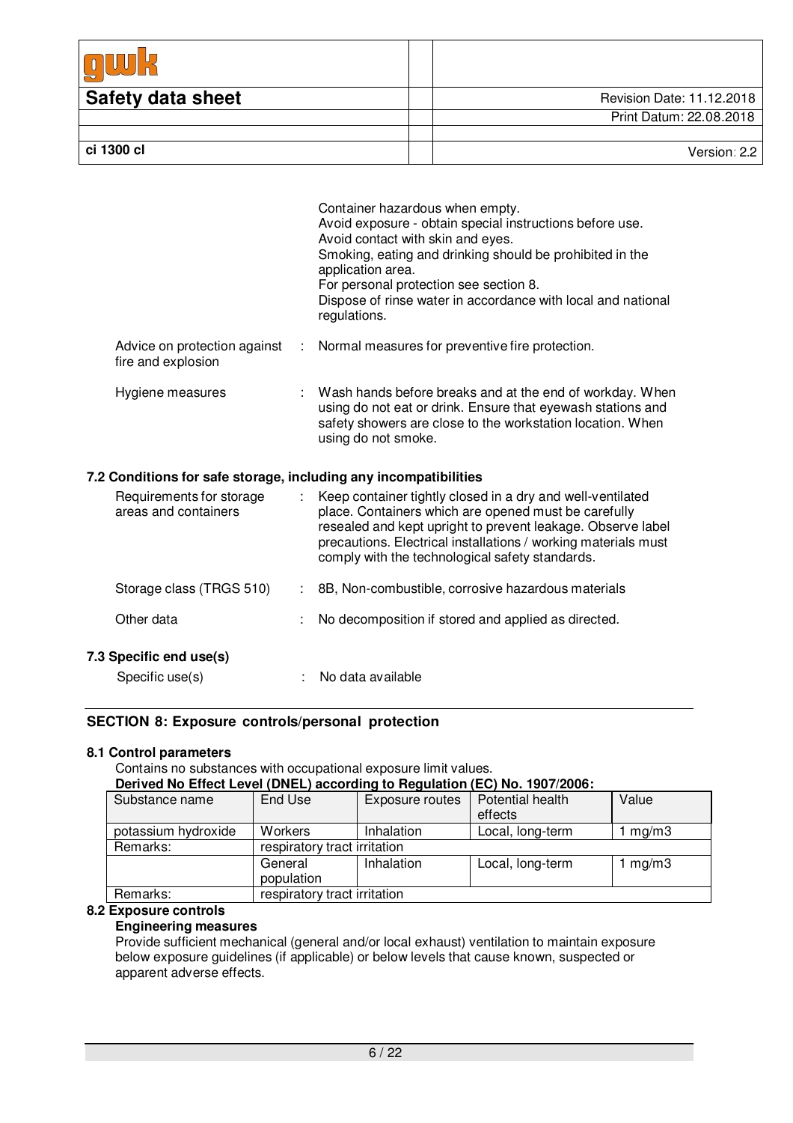| <b>Safety data sheet</b> | Revision Date: 11.12.2018 |
|--------------------------|---------------------------|
|                          | Print Datum: 22.08.2018   |
|                          |                           |
| ci 1300 cl               | Version: 2.2              |

|                                                    | Container hazardous when empty.<br>Avoid exposure - obtain special instructions before use.<br>Avoid contact with skin and eyes.<br>Smoking, eating and drinking should be prohibited in the<br>application area.<br>For personal protection see section 8.<br>Dispose of rinse water in accordance with local and national<br>regulations. |
|----------------------------------------------------|---------------------------------------------------------------------------------------------------------------------------------------------------------------------------------------------------------------------------------------------------------------------------------------------------------------------------------------------|
| Advice on protection against<br>fire and explosion | : Normal measures for preventive fire protection.                                                                                                                                                                                                                                                                                           |
| Hygiene measures                                   | : Wash hands before breaks and at the end of workday. When<br>using do not eat or drink. Ensure that eyewash stations and<br>safety showers are close to the workstation location. When<br>using do not smoke.                                                                                                                              |

### **7.2 Conditions for safe storage, including any incompatibilities**

| Requirements for storage<br>areas and containers | Keep container tightly closed in a dry and well-ventilated<br>÷<br>place. Containers which are opened must be carefully<br>resealed and kept upright to prevent leakage. Observe label<br>precautions. Electrical installations / working materials must<br>comply with the technological safety standards. |  |
|--------------------------------------------------|-------------------------------------------------------------------------------------------------------------------------------------------------------------------------------------------------------------------------------------------------------------------------------------------------------------|--|
| Storage class (TRGS 510)                         | 8B, Non-combustible, corrosive hazardous materials                                                                                                                                                                                                                                                          |  |
| Other data                                       | No decomposition if stored and applied as directed.<br>÷                                                                                                                                                                                                                                                    |  |
| 7.3 Specific end use(s)<br>Specific use(s)       | No data available                                                                                                                                                                                                                                                                                           |  |

#### **SECTION 8: Exposure controls/personal protection**

### **8.1 Control parameters**

Contains no substances with occupational exposure limit values. **Derived No Effect Level (DNEL) according to Regulation (EC) No. 1907/2006:**

| Derived No Effect Level (DNEL) according to Regulation (EC) No. 1907/2000: |                              |                   |                  |       |
|----------------------------------------------------------------------------|------------------------------|-------------------|------------------|-------|
| Substance name                                                             | End Use                      | Exposure routes   | Potential health | Value |
|                                                                            |                              |                   | effects          |       |
| potassium hydroxide                                                        | Workers                      | <b>Inhalation</b> | Local, long-term | mg/m3 |
| Remarks:                                                                   | respiratory tract irritation |                   |                  |       |
|                                                                            | General                      | Inhalation        | Local, long-term | mg/m3 |
|                                                                            | population                   |                   |                  |       |
| Remarks:                                                                   | respiratory tract irritation |                   |                  |       |

#### **8.2 Exposure controls**

## **Engineering measures**

Provide sufficient mechanical (general and/or local exhaust) ventilation to maintain exposure below exposure guidelines (if applicable) or below levels that cause known, suspected or apparent adverse effects.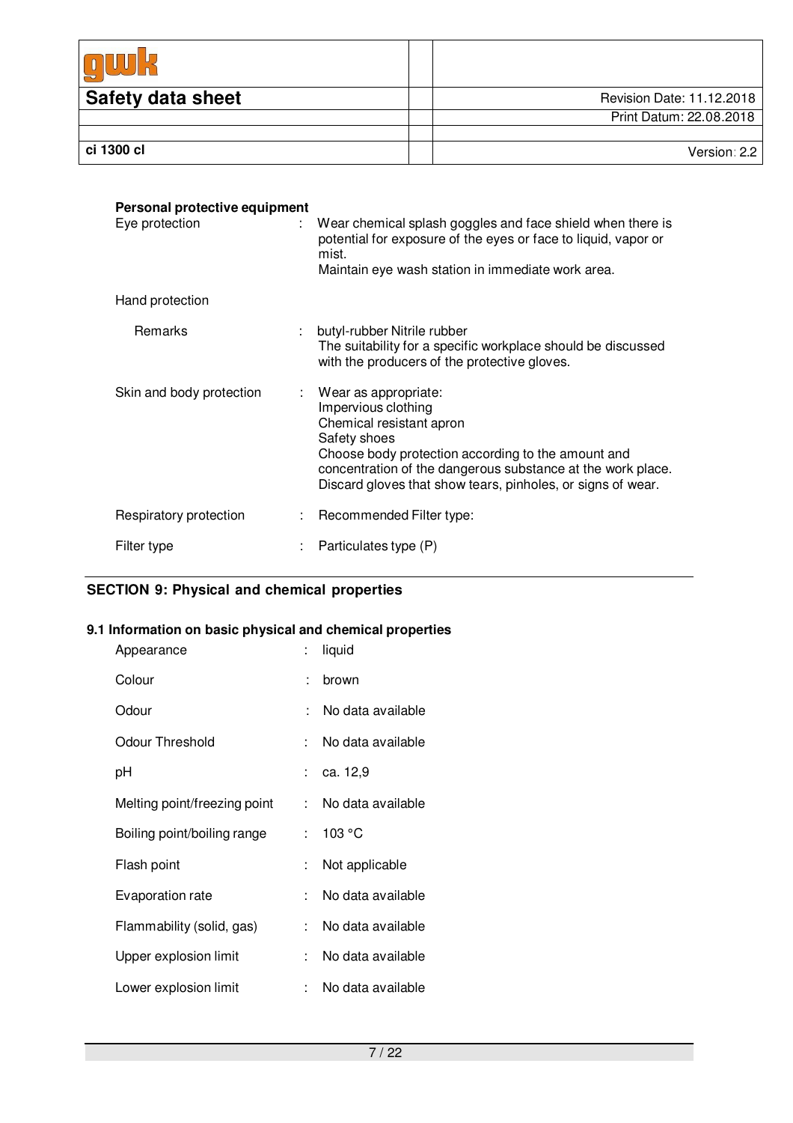| <b>Safety data sheet</b> | Revision Date: 11.12.2018 |
|--------------------------|---------------------------|
|                          | Print Datum: 22.08.2018   |
|                          |                           |
| ci 1300 cl               | Version: 2.2              |

| Personal protective equipment<br>Eye protection<br>÷. | Wear chemical splash goggles and face shield when there is<br>potential for exposure of the eyes or face to liquid, vapor or<br>mist.<br>Maintain eye wash station in immediate work area.                                                                                      |
|-------------------------------------------------------|---------------------------------------------------------------------------------------------------------------------------------------------------------------------------------------------------------------------------------------------------------------------------------|
| Hand protection                                       |                                                                                                                                                                                                                                                                                 |
| Remarks                                               | butyl-rubber Nitrile rubber<br>The suitability for a specific workplace should be discussed<br>with the producers of the protective gloves.                                                                                                                                     |
| Skin and body protection                              | $:$ Wear as appropriate:<br>Impervious clothing<br>Chemical resistant apron<br>Safety shoes<br>Choose body protection according to the amount and<br>concentration of the dangerous substance at the work place.<br>Discard gloves that show tears, pinholes, or signs of wear. |
| Respiratory protection                                | : Recommended Filter type:                                                                                                                                                                                                                                                      |
| Filter type                                           | Particulates type (P)                                                                                                                                                                                                                                                           |

# **SECTION 9: Physical and chemical properties**

## **9.1 Information on basic physical and chemical properties**

| Appearance                   |                             | liquid            |
|------------------------------|-----------------------------|-------------------|
| Colour                       | t                           | brown             |
| Odour                        |                             | No data available |
| Odour Threshold              | t.                          | No data available |
| рH                           |                             | : ca. 12,9        |
| Melting point/freezing point | t.                          | No data available |
| Boiling point/boiling range  | $\mathcal{C}^{\mathcal{C}}$ | 103 °C            |
| Flash point                  |                             | Not applicable    |
| Evaporation rate             | t.                          | No data available |
| Flammability (solid, gas)    | t.                          | No data available |
| Upper explosion limit        | $\mathbf{r}_{\mathrm{max}}$ | No data available |
| Lower explosion limit        | t.                          | No data available |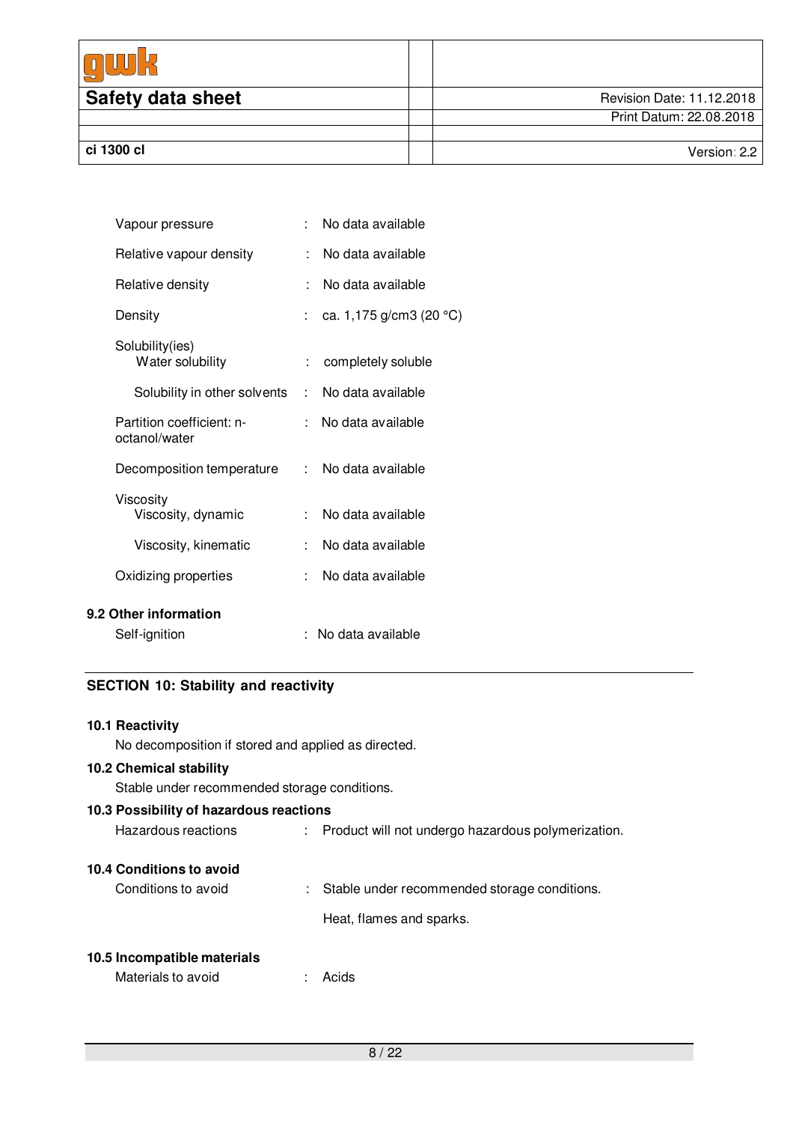| <b>Safety data sheet</b> | Revision Date: 11.12.2018 |
|--------------------------|---------------------------|
|                          | Print Datum: 22.08.2018   |
|                          |                           |
| ci 1300 cl               | Version: $2.2$            |

| Vapour pressure                            | ۰. | No data available                 |
|--------------------------------------------|----|-----------------------------------|
| Relative vapour density                    | t. | No data available                 |
| Relative density                           | ÷  | No data available                 |
| Density                                    |    | ca. 1,175 g/cm3 (20 $^{\circ}$ C) |
| Solubility(ies)<br>Water solubility        | t  | completely soluble                |
| Solubility in other solvents               | t. | No data available                 |
| Partition coefficient: n-<br>octanol/water | t. | No data available                 |
| Decomposition temperature                  |    | : No data available               |
| Viscosity<br>Viscosity, dynamic            | t. | No data available                 |
| Viscosity, kinematic                       | ۰. | No data available                 |
| Oxidizing properties                       |    | No data available                 |
| Other information                          |    |                                   |
| Self-ignition                              |    | No data available                 |

## **SECTION 10: Stability and reactivity**

## **10.1 Reactivity**

**9.2** 

No decomposition if stored and applied as directed.

## **10.2 Chemical stability**

Stable under recommended storage conditions.

| 10.3 Possibility of hazardous reactions |    |                                                    |
|-----------------------------------------|----|----------------------------------------------------|
| Hazardous reactions                     |    | Product will not undergo hazardous polymerization. |
| 10.4 Conditions to avoid                |    |                                                    |
| Conditions to avoid                     | t. | Stable under recommended storage conditions.       |
|                                         |    | Heat, flames and sparks.                           |
| 10.5 Incompatible materials             |    |                                                    |
| Materials to avoid                      |    | Acids                                              |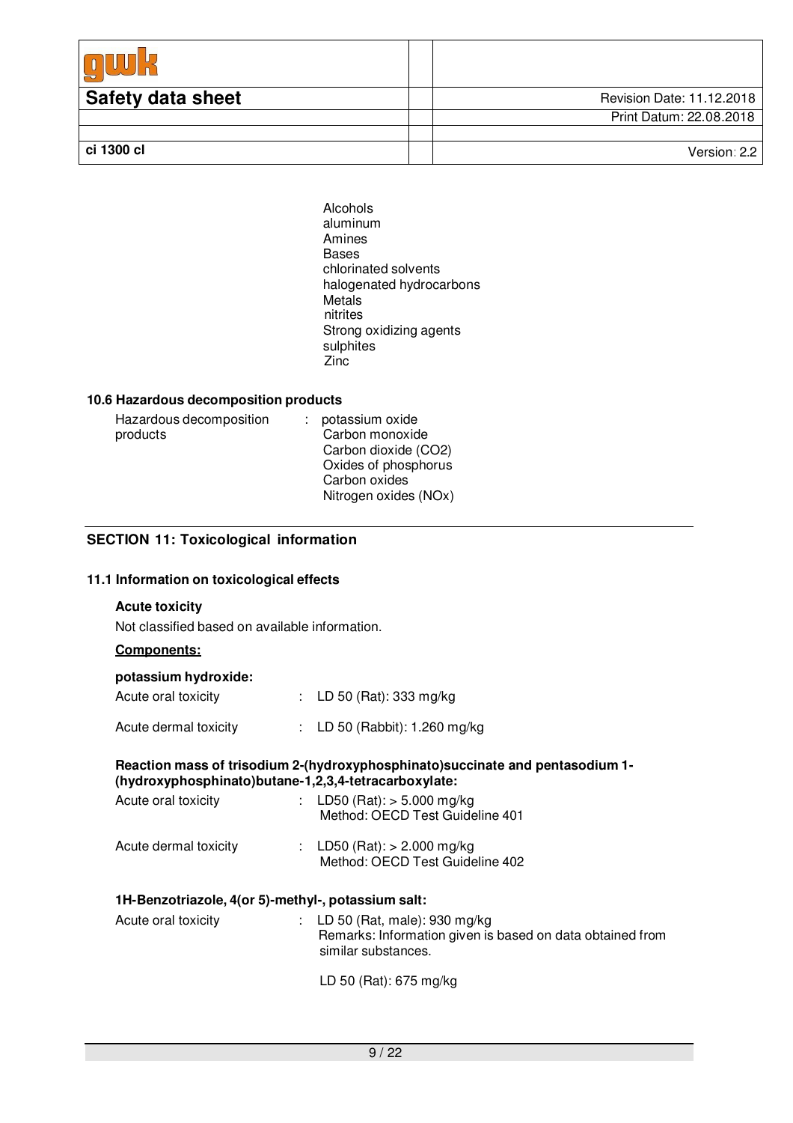| <b>Safety data sheet</b> | Revision Date: 11.12.2018 |
|--------------------------|---------------------------|
|                          | Print Datum: 22.08.2018   |
|                          |                           |
| ci 1300 cl               | Version: 2.2              |

Alcohols aluminum Amines Bases chlorinated solvents halogenated hydrocarbons **Metals** nitrites Strong oxidizing agents sulphites Zinc

#### **10.6 Hazardous decomposition products**

| Hazardous decomposition | potassium oxide       |
|-------------------------|-----------------------|
| products                | Carbon monoxide       |
|                         | Carbon dioxide (CO2)  |
|                         | Oxides of phosphorus  |
|                         | Carbon oxides         |
|                         | Nitrogen oxides (NOx) |

### **SECTION 11: Toxicological information**

#### **11.1 Information on toxicological effects**

### **Acute toxicity**

Not classified based on available information.

## **Components:**

## **potassium hydroxide:**

| Acute oral toxicity   | : LD 50 (Rat): 333 mg/kg      |
|-----------------------|-------------------------------|
| Acute dermal toxicity | : LD 50 (Rabbit): 1.260 mg/kg |

#### **Reaction mass of trisodium 2-(hydroxyphosphinato)succinate and pentasodium 1- (hydroxyphosphinato)butane-1,2,3,4-tetracarboxylate:**

| Acute oral toxicity   | : LD50 (Rat): $>$ 5.000 mg/kg<br>Method: OECD Test Guideline 401 |
|-----------------------|------------------------------------------------------------------|
| Acute dermal toxicity | : LD50 (Rat): $> 2.000$ mg/kg<br>Method: OECD Test Guideline 402 |

### **1H-Benzotriazole, 4(or 5)-methyl-, potassium salt:**

| Acute oral toxicity | : LD 50 (Rat, male): 930 mg/kg<br>Remarks: Information given is based on data obtained from<br>similar substances. |
|---------------------|--------------------------------------------------------------------------------------------------------------------|
|                     |                                                                                                                    |

LD 50 (Rat): 675 mg/kg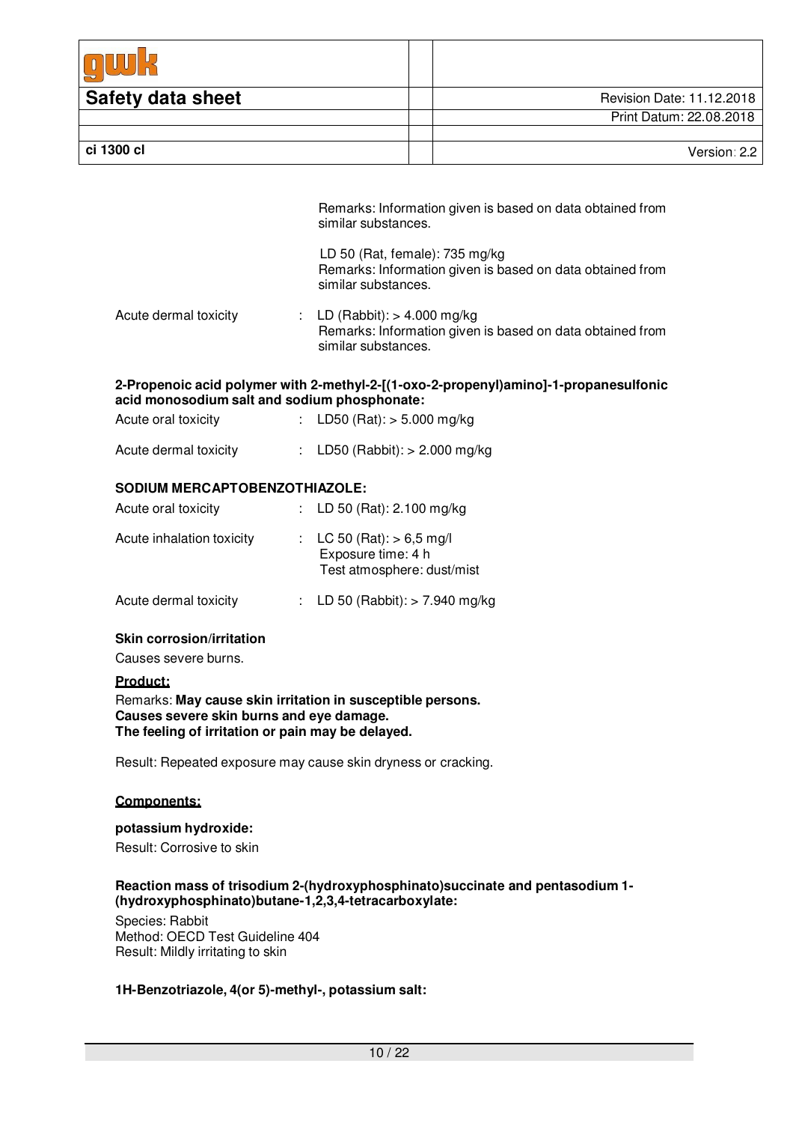| <b>Safety data sheet</b> | Revision Date: 11.12.2018 |
|--------------------------|---------------------------|
|                          | Print Datum: 22.08.2018   |
|                          |                           |
| ci 1300 cl               | Version: 2.2              |

| Remarks: Information given is based on data obtained from |
|-----------------------------------------------------------|
| similar substances.                                       |

|                                                                                                                                                                                                                                | LD 50 (Rat, female): $735 \text{ mg/kg}$<br>Remarks: Information given is based on data obtained from<br>similar substances. |  |
|--------------------------------------------------------------------------------------------------------------------------------------------------------------------------------------------------------------------------------|------------------------------------------------------------------------------------------------------------------------------|--|
| A contract contract to the first of the second state of the second state of the second state of the second state of the second state of the second state of the second state of the second state of the second state of the se | $\blacksquare$                                                                                                               |  |

Acute dermal toxicity : LD (Rabbit): > 4.000 mg/kg Remarks: Information given is based on data obtained from similar substances.

### **2-Propenoic acid polymer with 2-methyl-2-[(1-oxo-2-propenyl)amino]-1-propanesulfonic acid monosodium salt and sodium phosphonate:**

Acute oral toxicity : LD50 (Rat): > 5.000 mg/kg

| Acute dermal toxicity |  | LD50 (Rabbit): $> 2.000$ mg/kg |
|-----------------------|--|--------------------------------|
|-----------------------|--|--------------------------------|

## **SODIUM MERCAPTOBENZOTHIAZOLE:**

| Acute oral toxicity       | : LD 50 (Rat): 2.100 mg/kg                                                      |
|---------------------------|---------------------------------------------------------------------------------|
| Acute inhalation toxicity | : LC 50 (Rat): $> 6.5$ mg/l<br>Exposure time: 4 h<br>Test atmosphere: dust/mist |
| Acute dermal toxicity     | : LD 50 (Rabbit): $> 7.940$ mg/kg                                               |

## **Skin corrosion/irritation**

Causes severe burns.

#### **Product:**

Remarks: **May cause skin irritation in susceptible persons. Causes severe skin burns and eye damage. The feeling of irritation or pain may be delayed.**

Result: Repeated exposure may cause skin dryness or cracking.

## **Components:**

#### **potassium hydroxide:**

Result: Corrosive to skin

### **Reaction mass of trisodium 2-(hydroxyphosphinato)succinate and pentasodium 1- (hydroxyphosphinato)butane-1,2,3,4-tetracarboxylate:**

Species: Rabbit Method: OECD Test Guideline 404 Result: Mildly irritating to skin

## **1H-Benzotriazole, 4(or 5)-methyl-, potassium salt:**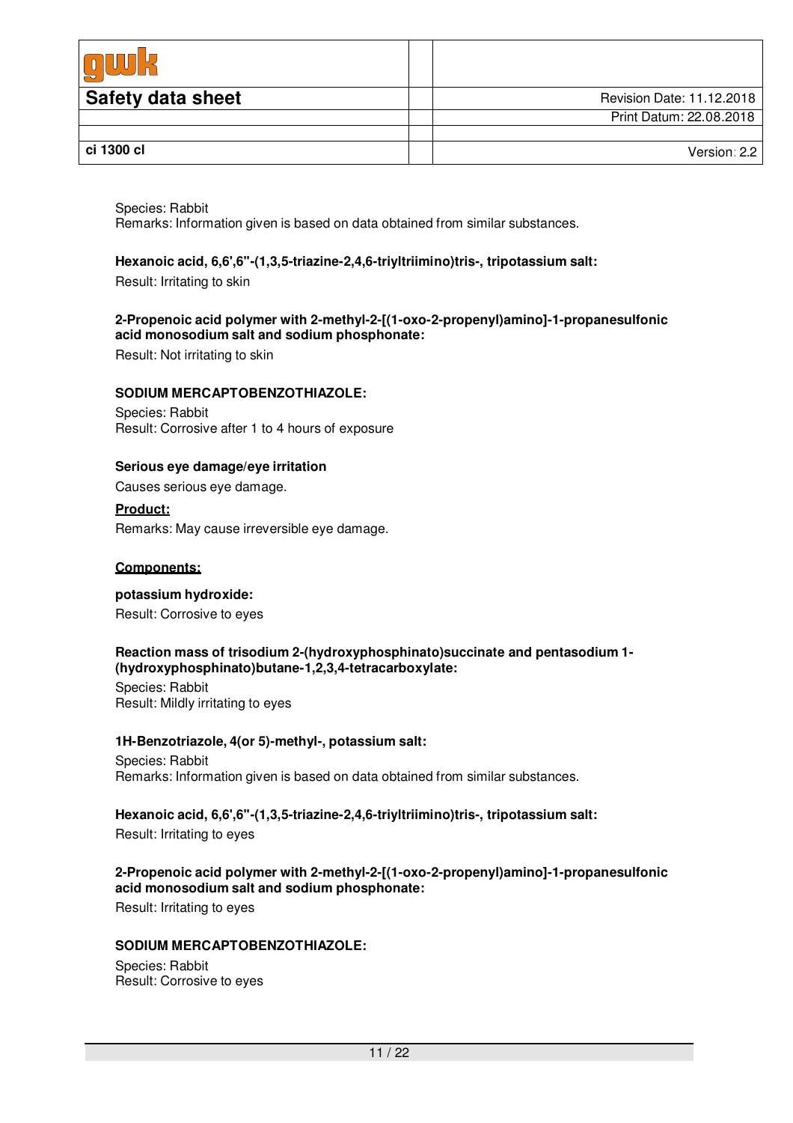| <b>Safety data sheet</b> | Revision Date: 11.12.2018 |
|--------------------------|---------------------------|
|                          | Print Datum: 22.08.2018   |
|                          |                           |
| ci 1300 cl               | Version: $2.2$            |

Species: Rabbit Remarks: Information given is based on data obtained from similar substances.

### **Hexanoic acid, 6,6',6''-(1,3,5-triazine-2,4,6-triyltriimino)tris-, tripotassium salt:**

Result: Irritating to skin

#### **2-Propenoic acid polymer with 2-methyl-2-[(1-oxo-2-propenyl)amino]-1-propanesulfonic acid monosodium salt and sodium phosphonate:**

Result: Not irritating to skin

#### **SODIUM MERCAPTOBENZOTHIAZOLE:**

Species: Rabbit Result: Corrosive after 1 to 4 hours of exposure

### **Serious eye damage/eye irritation**

Causes serious eye damage.

### **Product:**

Remarks: May cause irreversible eye damage.

#### **Components:**

## **potassium hydroxide:**

Result: Corrosive to eyes

#### **Reaction mass of trisodium 2-(hydroxyphosphinato)succinate and pentasodium 1- (hydroxyphosphinato)butane-1,2,3,4-tetracarboxylate:**

Species: Rabbit Result: Mildly irritating to eyes

#### **1H-Benzotriazole, 4(or 5)-methyl-, potassium salt:**

Species: Rabbit Remarks: Information given is based on data obtained from similar substances.

## **Hexanoic acid, 6,6',6''-(1,3,5-triazine-2,4,6-triyltriimino)tris-, tripotassium salt:**

Result: Irritating to eyes

### **2-Propenoic acid polymer with 2-methyl-2-[(1-oxo-2-propenyl)amino]-1-propanesulfonic acid monosodium salt and sodium phosphonate:**

Result: Irritating to eyes

### **SODIUM MERCAPTOBENZOTHIAZOLE:**

Species: Rabbit Result: Corrosive to eyes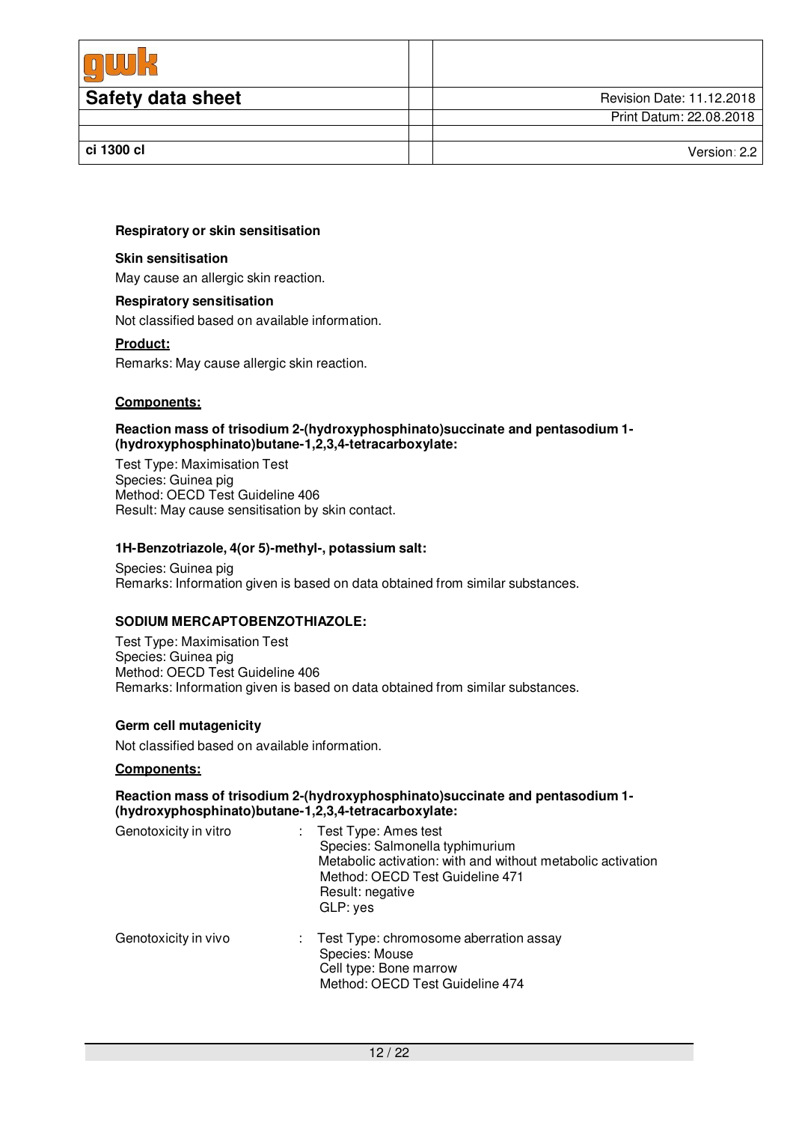| <b>Safety data sheet</b> | Revision Date: 11.12.2018 |
|--------------------------|---------------------------|
|                          | Print Datum: 22.08.2018   |
|                          |                           |
| ci 1300 cl               | Version: 2.2              |

#### **Respiratory or skin sensitisation**

#### **Skin sensitisation**

May cause an allergic skin reaction.

#### **Respiratory sensitisation**

Not classified based on available information.

#### **Product:**

Remarks: May cause allergic skin reaction.

#### **Components:**

**Reaction mass of trisodium 2-(hydroxyphosphinato)succinate and pentasodium 1- (hydroxyphosphinato)butane-1,2,3,4-tetracarboxylate:**

Test Type: Maximisation Test Species: Guinea pig Method: OECD Test Guideline 406 Result: May cause sensitisation by skin contact.

#### **1H-Benzotriazole, 4(or 5)-methyl-, potassium salt:**

Species: Guinea pig Remarks: Information given is based on data obtained from similar substances.

#### **SODIUM MERCAPTOBENZOTHIAZOLE:**

Test Type: Maximisation Test Species: Guinea pig Method: OECD Test Guideline 406 Remarks: Information given is based on data obtained from similar substances.

#### **Germ cell mutagenicity**

Not classified based on available information.

#### **Components:**

#### **Reaction mass of trisodium 2-(hydroxyphosphinato)succinate and pentasodium 1- (hydroxyphosphinato)butane-1,2,3,4-tetracarboxylate:**

| Genotoxicity in vitro | $:$ Test Type: Ames test<br>Species: Salmonella typhimurium<br>Metabolic activation: with and without metabolic activation<br>Method: OECD Test Guideline 471<br>Result: negative<br>GLP: yes |
|-----------------------|-----------------------------------------------------------------------------------------------------------------------------------------------------------------------------------------------|
| Genotoxicity in vivo  | : Test Type: chromosome aberration assay<br>Species: Mouse<br>Cell type: Bone marrow<br>Method: OECD Test Guideline 474                                                                       |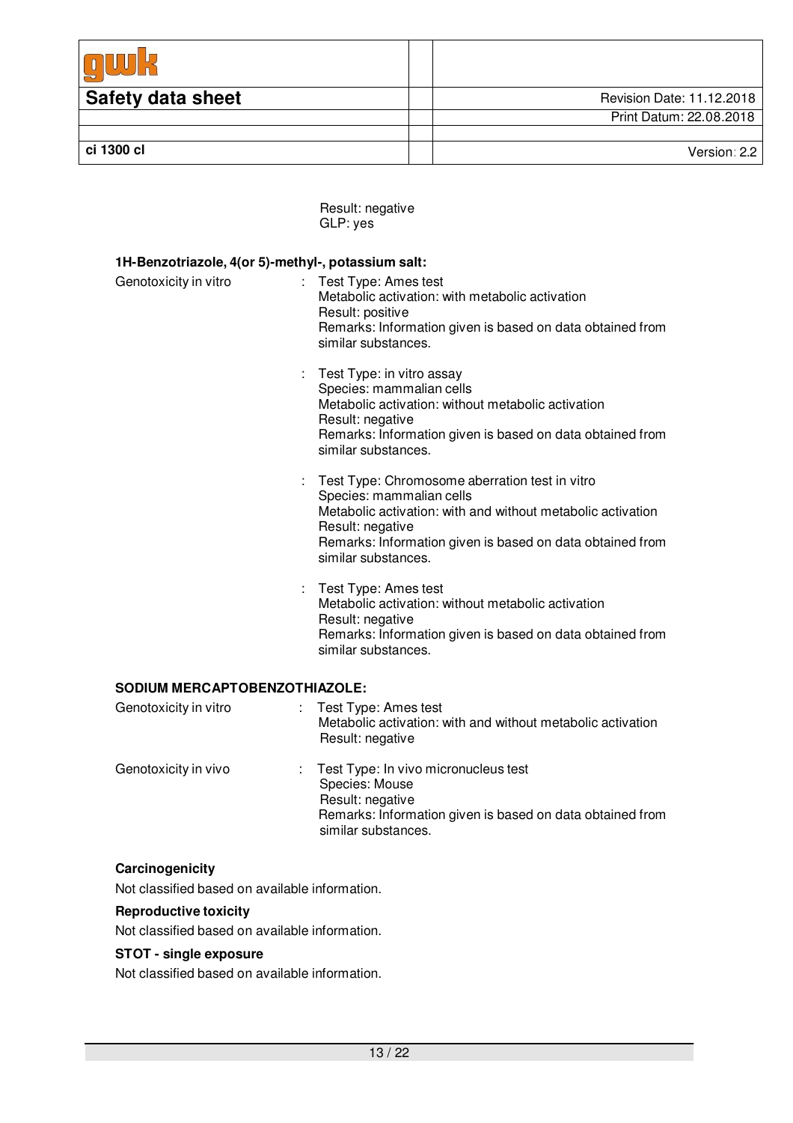| <b>Safety data sheet</b> | Revision Date: 11.12.2018 |
|--------------------------|---------------------------|
|                          | Print Datum: 22.08.2018   |
|                          |                           |
| ci 1300 cl               | Version: 2.2              |

Result: negative GLP: yes

| 1H-Benzotriazole, 4(or 5)-methyl-, potassium salt: |                                                                                                                                                                                                                                                   |  |  |  |
|----------------------------------------------------|---------------------------------------------------------------------------------------------------------------------------------------------------------------------------------------------------------------------------------------------------|--|--|--|
| Genotoxicity in vitro<br>t.                        | Test Type: Ames test<br>Metabolic activation: with metabolic activation<br>Result: positive<br>Remarks: Information given is based on data obtained from<br>similar substances.                                                                   |  |  |  |
| t.                                                 | Test Type: in vitro assay<br>Species: mammalian cells<br>Metabolic activation: without metabolic activation<br>Result: negative<br>Remarks: Information given is based on data obtained from<br>similar substances.                               |  |  |  |
| t                                                  | Test Type: Chromosome aberration test in vitro<br>Species: mammalian cells<br>Metabolic activation: with and without metabolic activation<br>Result: negative<br>Remarks: Information given is based on data obtained from<br>similar substances. |  |  |  |
|                                                    | Test Type: Ames test<br>Metabolic activation: without metabolic activation<br>Result: negative<br>Remarks: Information given is based on data obtained from<br>similar substances.                                                                |  |  |  |
| <b>SODIUM MERCAPTOBENZOTHIAZOLE:</b>               |                                                                                                                                                                                                                                                   |  |  |  |
| Genotoxicity in vitro<br>÷                         | Test Type: Ames test<br>Metabolic activation: with and without metabolic activation                                                                                                                                                               |  |  |  |

|                      | Metabolic activation: with and without metabolic activation<br>Result: negative                                                                                  |
|----------------------|------------------------------------------------------------------------------------------------------------------------------------------------------------------|
| Genotoxicity in vivo | : Test Type: In vivo micronucleus test<br>Species: Mouse<br>Result: negative<br>Remarks: Information given is based on data obtained from<br>similar substances. |

## **Carcinogenicity**

Not classified based on available information.

### **Reproductive toxicity**

Not classified based on available information.

## **STOT - single exposure**

Not classified based on available information.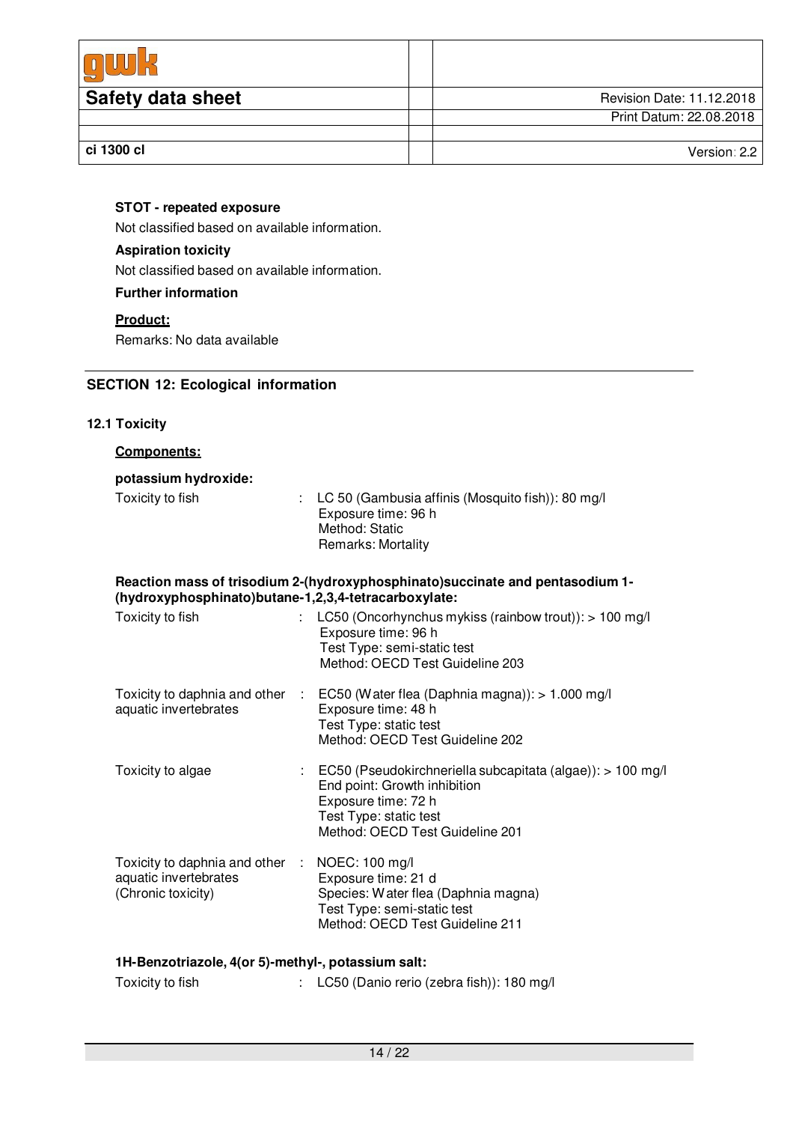| <b>Safety data sheet</b> | Revision Date: 11.12.2018 |
|--------------------------|---------------------------|
|                          | Print Datum: 22.08.2018   |
|                          |                           |
| ci 1300 cl               | Version: 2.2              |

## **STOT - repeated exposure**

Not classified based on available information.

## **Aspiration toxicity**

Not classified based on available information.

## **Further information**

## **Product:**

Remarks: No data available

## **SECTION 12: Ecological information**

## **12.1 Toxicity**

| Components:                                                                    |                                                                                                                                                                                |  |  |  |
|--------------------------------------------------------------------------------|--------------------------------------------------------------------------------------------------------------------------------------------------------------------------------|--|--|--|
| potassium hydroxide:                                                           |                                                                                                                                                                                |  |  |  |
| Toxicity to fish                                                               | LC 50 (Gambusia affinis (Mosquito fish)): 80 mg/l<br>Exposure time: 96 h<br>Method: Static<br><b>Remarks: Mortality</b>                                                        |  |  |  |
| (hydroxyphosphinato)butane-1,2,3,4-tetracarboxylate:                           | Reaction mass of trisodium 2-(hydroxyphosphinato) succinate and pentasodium 1-                                                                                                 |  |  |  |
| Toxicity to fish                                                               | LC50 (Oncorhynchus mykiss (rainbow trout)): > 100 mg/l<br>Exposure time: 96 h<br>Test Type: semi-static test<br>Method: OECD Test Guideline 203                                |  |  |  |
| Toxicity to daphnia and other<br>aquatic invertebrates                         | EC50 (Water flea (Daphnia magna)): > 1.000 mg/l<br>$\sim$ 100<br>Exposure time: 48 h<br>Test Type: static test<br>Method: OECD Test Guideline 202                              |  |  |  |
| Toxicity to algae                                                              | EC50 (Pseudokirchneriella subcapitata (algae)): > 100 mg/l<br>End point: Growth inhibition<br>Exposure time: 72 h<br>Test Type: static test<br>Method: OECD Test Guideline 201 |  |  |  |
| Toxicity to daphnia and other :<br>aquatic invertebrates<br>(Chronic toxicity) | NOEC: 100 mg/l<br>Exposure time: 21 d<br>Species: Water flea (Daphnia magna)<br>Test Type: semi-static test<br>Method: OECD Test Guideline 211                                 |  |  |  |
| 1H-Benzotriazole, 4(or 5)-methyl-, potassium salt:                             |                                                                                                                                                                                |  |  |  |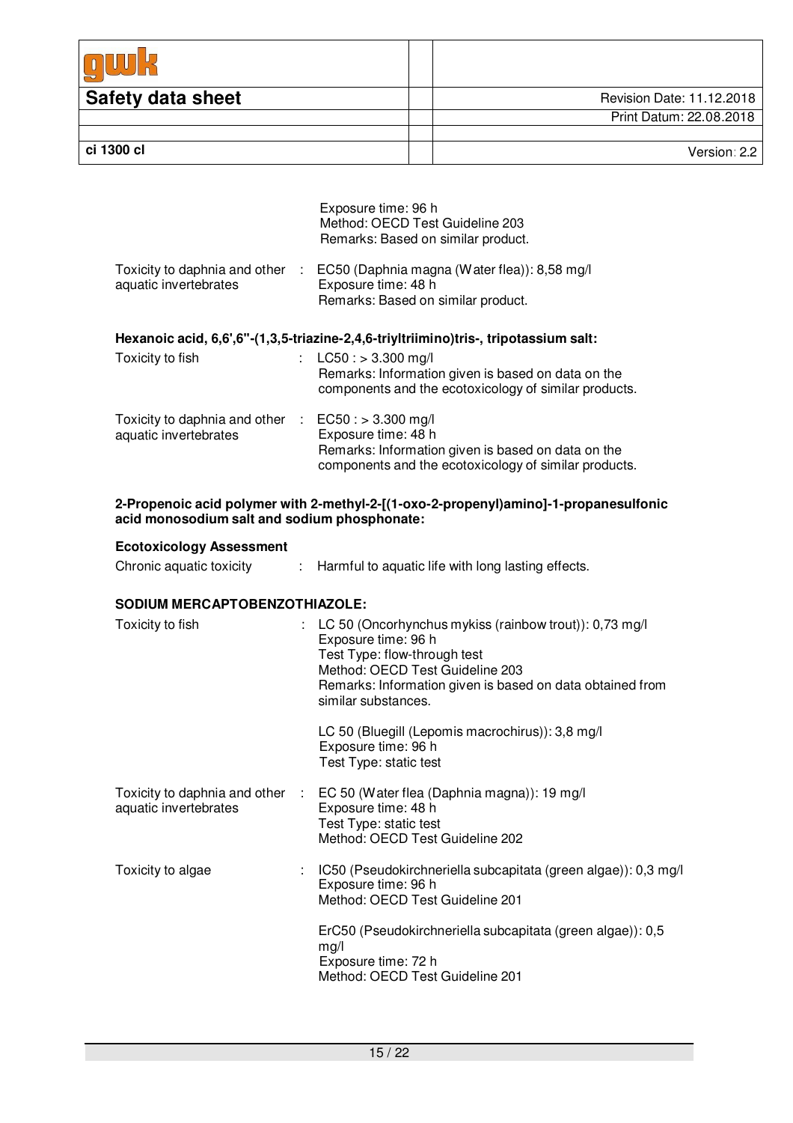| <b>Safety data sheet</b> | Revision Date: 11.12.2018 |
|--------------------------|---------------------------|
|                          | Print Datum: 22.08.2018   |
|                          |                           |
| ci 1300 cl               | Version: 2.2              |

| Exposure time: 96 h<br>Method: OECD Test Guideline 203<br>Remarks: Based on similar product.                                                |
|---------------------------------------------------------------------------------------------------------------------------------------------|
| EC50 (Daphnia magna (Water flea)): 8,58 mg/l<br>Exposure time: 48 h<br>Remarks: Based on similar product.                                   |
| Hexanoic acid, 6,6',6"-(1,3,5-triazine-2,4,6-triyltriimino)tris-, tripotassium salt:                                                        |
| : $LC50: > 3.300$ mg/l<br>Remarks: Information given is based on data on the<br>components and the ecotoxicology of similar products.       |
| Toxicity to daphnia and other $\therefore$ EC50 : > 3.300 mg/l<br>Exposure time: 48 h<br>Remarks: Information given is based on data on the |
|                                                                                                                                             |

#### **2-Propenoic acid polymer with 2-methyl-2-[(1-oxo-2-propenyl)amino]-1-propanesulfonic acid monosodium salt and sodium phosphonate:**

#### **Ecotoxicology Assessment**

| Chronic aquatic toxicity | Harmful to aquatic life with long lasting effects. |  |
|--------------------------|----------------------------------------------------|--|
|--------------------------|----------------------------------------------------|--|

## **SODIUM MERCAPTOBENZOTHIAZOLE:**

| Toxicity to fish                                       |    | : LC 50 (Oncorhynchus mykiss (rainbow trout)): $0.73 \text{ mg/l}$<br>Exposure time: 96 h<br>Test Type: flow-through test<br>Method: OECD Test Guideline 203<br>Remarks: Information given is based on data obtained from<br>similar substances. |
|--------------------------------------------------------|----|--------------------------------------------------------------------------------------------------------------------------------------------------------------------------------------------------------------------------------------------------|
|                                                        |    | LC 50 (Bluegill (Lepomis macrochirus)): 3,8 mg/l<br>Exposure time: 96 h<br>Test Type: static test                                                                                                                                                |
| Toxicity to daphnia and other<br>aquatic invertebrates | ÷. | EC 50 (Water flea (Daphnia magna)): 19 mg/l<br>Exposure time: 48 h<br>Test Type: static test<br>Method: OECD Test Guideline 202                                                                                                                  |
| Toxicity to algae                                      |    | IC50 (Pseudokirchneriella subcapitata (green algae)): 0,3 mg/l<br>Exposure time: 96 h<br>Method: OECD Test Guideline 201                                                                                                                         |
|                                                        |    | ErC50 (Pseudokirchneriella subcapitata (green algae)): 0,5<br>mg/l<br>Exposure time: 72 h<br>Method: OECD Test Guideline 201                                                                                                                     |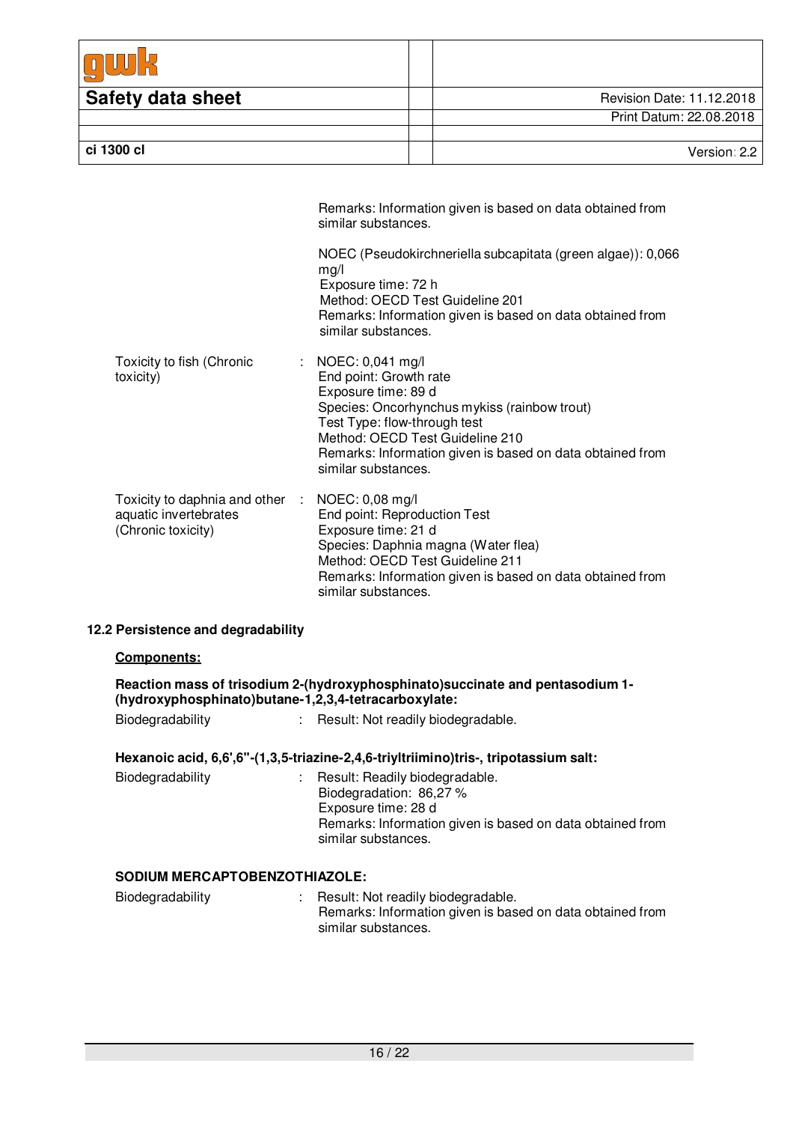| <b>Safety data sheet</b> | Revision Date: 11.12.2018 |
|--------------------------|---------------------------|
|                          | Print Datum: 22.08.2018   |
|                          |                           |
| ci 1300 cl               | Version: $2.2$            |

|                                                                                | Remarks: Information given is based on data obtained from<br>similar substances.                                                                                                                                                                                             |
|--------------------------------------------------------------------------------|------------------------------------------------------------------------------------------------------------------------------------------------------------------------------------------------------------------------------------------------------------------------------|
|                                                                                | NOEC (Pseudokirchneriella subcapitata (green algae)): 0,066<br>mg/l<br>Exposure time: 72 h<br>Method: OECD Test Guideline 201<br>Remarks: Information given is based on data obtained from<br>similar substances.                                                            |
| Toxicity to fish (Chronic<br>toxicity)                                         | : NOEC: $0,041$ mg/l<br>End point: Growth rate<br>Exposure time: 89 d<br>Species: Oncorhynchus mykiss (rainbow trout)<br>Test Type: flow-through test<br>Method: OECD Test Guideline 210<br>Remarks: Information given is based on data obtained from<br>similar substances. |
| Toxicity to daphnia and other :<br>aquatic invertebrates<br>(Chronic toxicity) | NOEC: 0,08 mg/l<br>End point: Reproduction Test<br>Exposure time: 21 d<br>Species: Daphnia magna (Water flea)<br>Method: OECD Test Guideline 211<br>Remarks: Information given is based on data obtained from<br>similar substances.                                         |

## **12.2 Persistence and degradability**

### **Components:**

| Reaction mass of trisodium 2-(hydroxyphosphinato) succinate and pentasodium 1-<br>(hydroxyphosphinato)butane-1,2,3,4-tetracarboxylate: |  |                                    |  |  |
|----------------------------------------------------------------------------------------------------------------------------------------|--|------------------------------------|--|--|
| Biodegradability                                                                                                                       |  | Result: Not readily biodegradable. |  |  |

## **Hexanoic acid, 6,6',6''-(1,3,5-triazine-2,4,6-triyltriimino)tris-, tripotassium salt:**

| Biodegradability | : Result: Readily biodegradable.<br>Biodegradation: 86,27 %<br>Exposure time: 28 d<br>Remarks: Information given is based on data obtained from<br>similar substances. |
|------------------|------------------------------------------------------------------------------------------------------------------------------------------------------------------------|
|------------------|------------------------------------------------------------------------------------------------------------------------------------------------------------------------|

## **SODIUM MERCAPTOBENZOTHIAZOLE:**

| Biodegradability | Result: Not readily biodegradable.                        |
|------------------|-----------------------------------------------------------|
|                  | Remarks: Information given is based on data obtained from |
|                  | similar substances.                                       |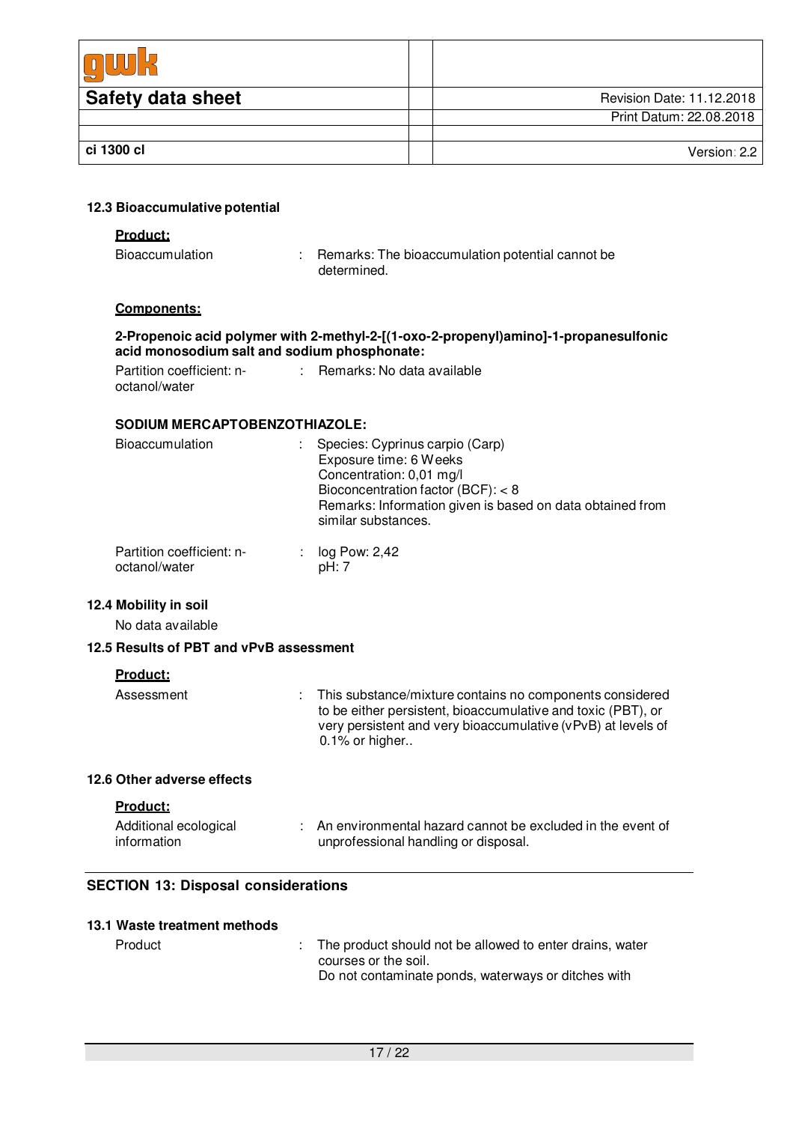| <b>Safety data sheet</b> | Revision Date: 11.12.2018 |
|--------------------------|---------------------------|
|                          | Print Datum: 22.08.2018   |
|                          |                           |
| ci 1300 cl               | Version: 2.2              |

#### **12.3 Bioaccumulative potential**

#### **Product:**

| <b>Bioaccumulation</b> | Remarks: The bioaccumulation potential cannot be |
|------------------------|--------------------------------------------------|
|                        | determined.                                      |

#### **Components:**

#### **2-Propenoic acid polymer with 2-methyl-2-[(1-oxo-2-propenyl)amino]-1-propanesulfonic acid monosodium salt and sodium phosphonate:**

Partition coefficient: noctanol/water : Remarks: No data available

#### **SODIUM MERCAPTOBENZOTHIAZOLE:**

| <b>Bioaccumulation</b>                     | : Species: Cyprinus carpio (Carp)<br>Exposure time: 6 Weeks<br>Concentration: 0,01 mg/l<br>Bioconcentration factor (BCF): $<$ 8<br>Remarks: Information given is based on data obtained from<br>similar substances. |
|--------------------------------------------|---------------------------------------------------------------------------------------------------------------------------------------------------------------------------------------------------------------------|
| Partition coefficient: n-<br>octanol/water | log Pow: 2,42<br>pH: 7                                                                                                                                                                                              |

## **12.4 Mobility in soil**

No data available

#### **12.5 Results of PBT and vPvB assessment**

#### **Product:**

| Assessment | : This substance/mixture contains no components considered<br>to be either persistent, bioaccumulative and toxic (PBT), or<br>very persistent and very bioaccumulative (vPvB) at levels of<br>$0.1\%$ or higher |
|------------|-----------------------------------------------------------------------------------------------------------------------------------------------------------------------------------------------------------------|
|            |                                                                                                                                                                                                                 |

## **12.6 Other adverse effects**

| oduci |
|-------|
|-------|

| Additional ecological | : An environmental hazard cannot be excluded in the event of |
|-----------------------|--------------------------------------------------------------|
| information           | unprofessional handling or disposal.                         |

#### **SECTION 13: Disposal considerations**

|  | 13.1 Waste treatment methods |  |
|--|------------------------------|--|
|  |                              |  |

| Product | : The product should not be allowed to enter drains, water<br>courses or the soil.<br>Do not contaminate ponds, waterways or ditches with |
|---------|-------------------------------------------------------------------------------------------------------------------------------------------|
|         |                                                                                                                                           |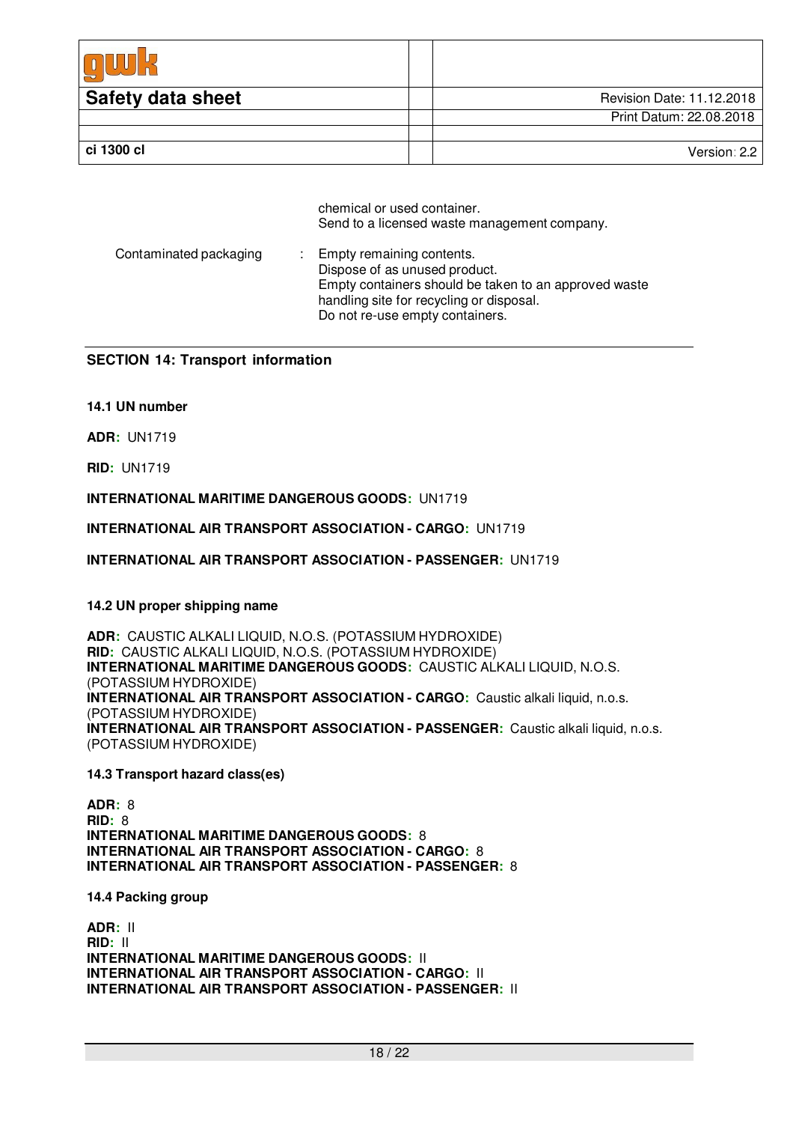| <b>Safety data sheet</b> | Revision Date: 11.12.2018 |
|--------------------------|---------------------------|
|                          | Print Datum: 22.08.2018   |
|                          |                           |
| ci 1300 cl               | Version: 2.2              |

chemical or used container. Send to a licensed waste management company.

| Contaminated packaging | : Empty remaining contents.<br>Dispose of as unused product.<br>Empty containers should be taken to an approved waste<br>handling site for recycling or disposal.<br>Do not re-use empty containers. |
|------------------------|------------------------------------------------------------------------------------------------------------------------------------------------------------------------------------------------------|
|------------------------|------------------------------------------------------------------------------------------------------------------------------------------------------------------------------------------------------|

## **SECTION 14: Transport information**

### **14.1 UN number**

**ADR:** UN1719

**RID:** UN1719

**INTERNATIONAL MARITIME DANGEROUS GOODS:** UN1719

**INTERNATIONAL AIR TRANSPORT ASSOCIATION - CARGO:** UN1719

**INTERNATIONAL AIR TRANSPORT ASSOCIATION - PASSENGER:** UN1719

#### **14.2 UN proper shipping name**

**ADR:** CAUSTIC ALKALI LIQUID, N.O.S. (POTASSIUM HYDROXIDE) **RID:** CAUSTIC ALKALI LIQUID, N.O.S. (POTASSIUM HYDROXIDE) **INTERNATIONAL MARITIME DANGEROUS GOODS:** CAUSTIC ALKALI LIQUID, N.O.S. (POTASSIUM HYDROXIDE) **INTERNATIONAL AIR TRANSPORT ASSOCIATION - CARGO:** Caustic alkali liquid, n.o.s. (POTASSIUM HYDROXIDE) **INTERNATIONAL AIR TRANSPORT ASSOCIATION - PASSENGER:** Caustic alkali liquid, n.o.s. (POTASSIUM HYDROXIDE)

**14.3 Transport hazard class(es)** 

**ADR:** 8 **RID:** 8 **INTERNATIONAL MARITIME DANGEROUS GOODS:** 8 **INTERNATIONAL AIR TRANSPORT ASSOCIATION - CARGO:** 8 **INTERNATIONAL AIR TRANSPORT ASSOCIATION - PASSENGER:** 8

**14.4 Packing group**

**ADR:** II **RID:** II **INTERNATIONAL MARITIME DANGEROUS GOODS:** II **INTERNATIONAL AIR TRANSPORT ASSOCIATION - CARGO:** II **INTERNATIONAL AIR TRANSPORT ASSOCIATION - PASSENGER:** II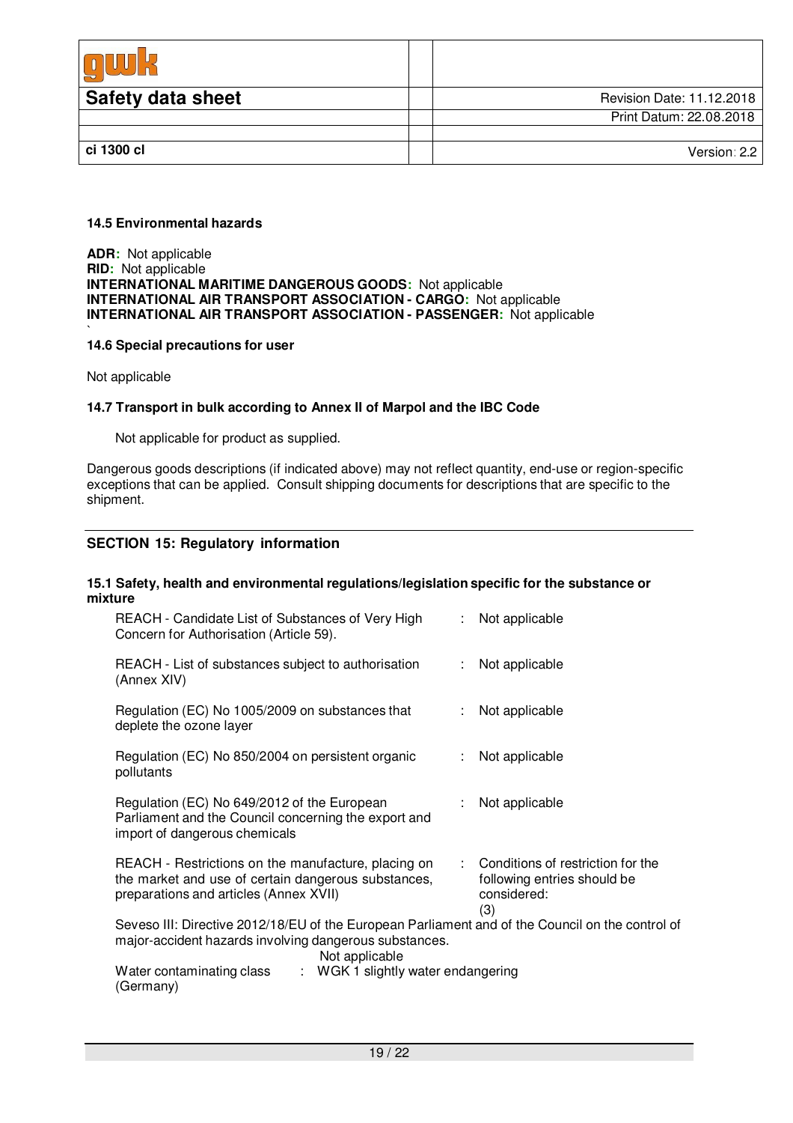| <b>Safety data sheet</b> | Revision Date: 11.12.2018 |
|--------------------------|---------------------------|
|                          | Print Datum: 22.08.2018   |
|                          |                           |
| ci 1300 cl               | Version: 2.2              |

#### **14.5 Environmental hazards**

**ADR:** Not applicable **RID:** Not applicable **INTERNATIONAL MARITIME DANGEROUS GOODS:** Not applicable **INTERNATIONAL AIR TRANSPORT ASSOCIATION - CARGO:** Not applicable **INTERNATIONAL AIR TRANSPORT ASSOCIATION - PASSENGER:** Not applicable

#### ` **14.6 Special precautions for user**

Not applicable

#### **14.7 Transport in bulk according to Annex II of Marpol and the IBC Code**

Not applicable for product as supplied.

Dangerous goods descriptions (if indicated above) may not reflect quantity, end-use or region-specific exceptions that can be applied. Consult shipping documents for descriptions that are specific to the shipment.

### **SECTION 15: Regulatory information**

#### **15.1 Safety, health and environmental regulations/legislation specific for the substance or mixture**

| REACH - Candidate List of Substances of Very High<br>Concern for Authorisation (Article 59).                                                                                 | t. | Not applicable                                                                           |  |  |
|------------------------------------------------------------------------------------------------------------------------------------------------------------------------------|----|------------------------------------------------------------------------------------------|--|--|
| REACH - List of substances subject to authorisation<br>(Annex XIV)                                                                                                           |    | : Not applicable                                                                         |  |  |
| Regulation (EC) No 1005/2009 on substances that<br>deplete the ozone layer                                                                                                   |    | Not applicable                                                                           |  |  |
| Regulation (EC) No 850/2004 on persistent organic<br>pollutants                                                                                                              |    | Not applicable                                                                           |  |  |
| Regulation (EC) No 649/2012 of the European<br>Parliament and the Council concerning the export and<br>import of dangerous chemicals                                         |    | Not applicable                                                                           |  |  |
| REACH - Restrictions on the manufacture, placing on<br>the market and use of certain dangerous substances,<br>preparations and articles (Annex XVII)                         |    | : Conditions of restriction for the<br>following entries should be<br>considered:<br>(3) |  |  |
| Seveso III: Directive 2012/18/EU of the European Parliament and of the Council on the control of<br>major-accident hazards involving dangerous substances.<br>Not applicable |    |                                                                                          |  |  |
| Water contaminating class<br>: WGK 1 slightly water endangering<br>(Germany)                                                                                                 |    |                                                                                          |  |  |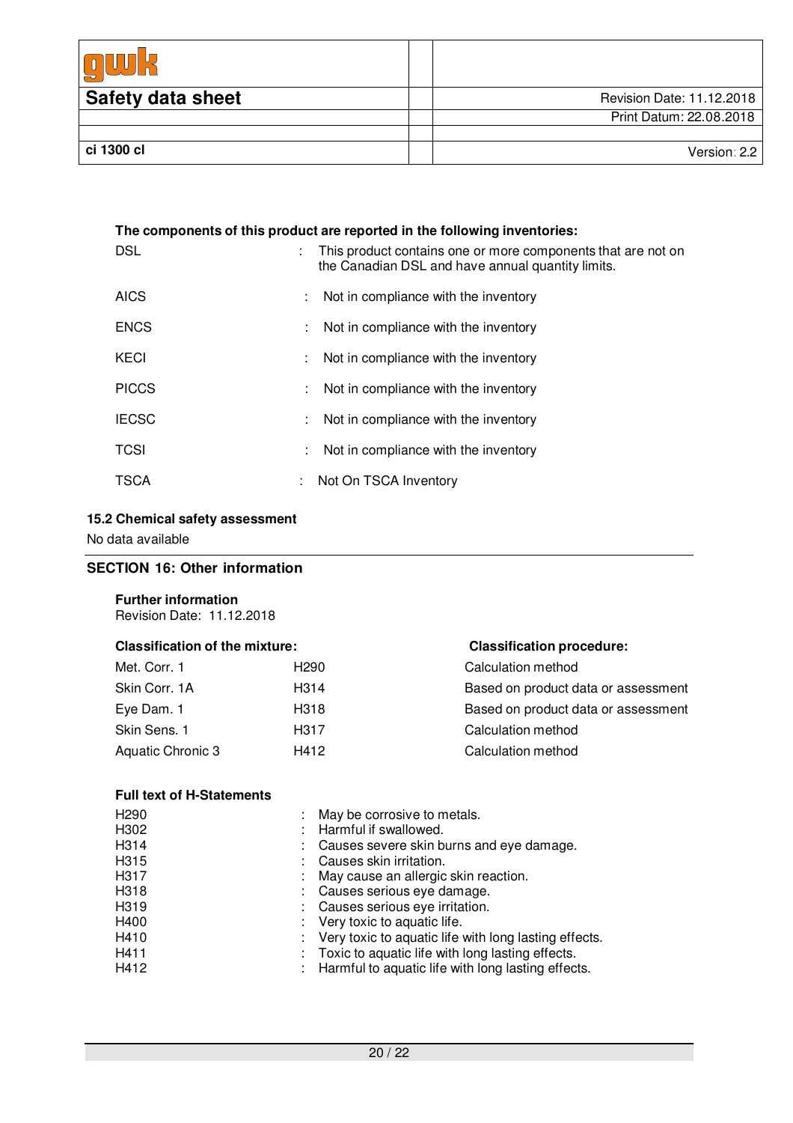| <b>Safety data sheet</b> | Revision Date: 11.12.2018 |
|--------------------------|---------------------------|
|                          | Print Datum: 22.08.2018   |
|                          |                           |
| ci 1300 cl               | Version: 2.2              |

| The components of this product are reported in the following inventories: |                           |                                                                                                                   |  |  |
|---------------------------------------------------------------------------|---------------------------|-------------------------------------------------------------------------------------------------------------------|--|--|
| <b>DSL</b>                                                                | ÷.                        | This product contains one or more components that are not on<br>the Canadian DSL and have annual quantity limits. |  |  |
| <b>AICS</b>                                                               |                           | Not in compliance with the inventory                                                                              |  |  |
| <b>ENCS</b>                                                               |                           | : Not in compliance with the inventory                                                                            |  |  |
| KECI                                                                      | $\mathbb{Z}^{\mathbb{Z}}$ | Not in compliance with the inventory                                                                              |  |  |
| <b>PICCS</b>                                                              | ÷                         | Not in compliance with the inventory                                                                              |  |  |
| <b>IECSC</b>                                                              | ÷.                        | Not in compliance with the inventory                                                                              |  |  |
| <b>TCSI</b>                                                               |                           | : Not in compliance with the inventory                                                                            |  |  |
| <b>TSCA</b>                                                               |                           | Not On TSCA Inventory                                                                                             |  |  |

## **15.2 Chemical safety assessment**

No data available

## **SECTION 16: Other information**

## **Further information**

Revision Date: 11.12.2018

# **Classification procedure:**

| Met. Corr. 1      | H <sub>290</sub> | Calculation method                  |
|-------------------|------------------|-------------------------------------|
| Skin Corr. 1A     | H314             | Based on product data or assessment |
| Eye Dam. 1        | H318             | Based on product data or assessment |
| Skin Sens, 1      | H317             | Calculation method                  |
| Aquatic Chronic 3 | H412             | Calculation method                  |
|                   |                  |                                     |

## **Full text of H-Statements**

| H <sub>290</sub>  | May be corrosive to metals.                           |
|-------------------|-------------------------------------------------------|
| H302              | Harmful if swallowed.                                 |
| H <sub>3</sub> 14 | Causes severe skin burns and eye damage.              |
| H315              | Causes skin irritation.                               |
| H317              | May cause an allergic skin reaction.                  |
| H318              | Causes serious eye damage.                            |
| H319              | Causes serious eye irritation.                        |
| H400              | Very toxic to aquatic life.                           |
| H410              | Very toxic to aquatic life with long lasting effects. |
| H411              | Toxic to aquatic life with long lasting effects.      |
| H412              | Harmful to aquatic life with long lasting effects.    |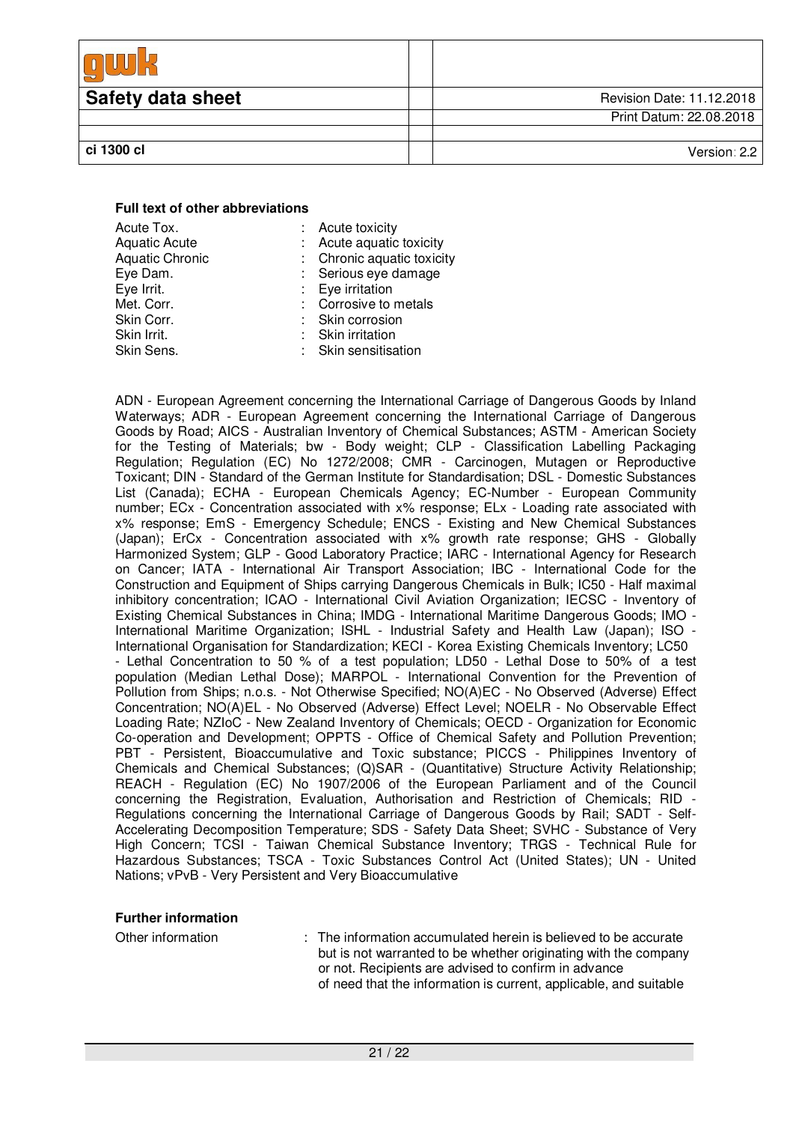| <b>Safety data sheet</b> | Revision Date: 11.12.2018 |
|--------------------------|---------------------------|
|                          | Print Datum: 22.08.2018   |
|                          |                           |
| ci 1300 cl               | Version: $2.2$            |

#### **Full text of other abbreviations**

| Acute Tox.             | : Acute toxicity           |
|------------------------|----------------------------|
| <b>Aquatic Acute</b>   | : Acute aquatic toxicity   |
| <b>Aquatic Chronic</b> | : Chronic aquatic toxicity |
| Eye Dam.               | : Serious eye damage       |
| Eye Irrit.             | : Eye irritation           |
| Met. Corr.             | : Corrosive to metals      |
| Skin Corr.             | : Skin corrosion           |
| Skin Irrit.            | : Skin irritation          |
| Skin Sens.             | : Skin sensitisation       |
|                        |                            |

ADN - European Agreement concerning the International Carriage of Dangerous Goods by Inland Waterways; ADR - European Agreement concerning the International Carriage of Dangerous Goods by Road; AICS - Australian Inventory of Chemical Substances; ASTM - American Society for the Testing of Materials; bw - Body weight; CLP - Classification Labelling Packaging Regulation; Regulation (EC) No 1272/2008; CMR - Carcinogen, Mutagen or Reproductive Toxicant; DIN - Standard of the German Institute for Standardisation; DSL - Domestic Substances List (Canada); ECHA - European Chemicals Agency; EC-Number - European Community number; ECx - Concentration associated with x% response; ELx - Loading rate associated with x% response; EmS - Emergency Schedule; ENCS - Existing and New Chemical Substances (Japan); ErCx - Concentration associated with x% growth rate response; GHS - Globally Harmonized System; GLP - Good Laboratory Practice; IARC - International Agency for Research on Cancer; IATA - International Air Transport Association; IBC - International Code for the Construction and Equipment of Ships carrying Dangerous Chemicals in Bulk; IC50 - Half maximal inhibitory concentration; ICAO - International Civil Aviation Organization; IECSC - Inventory of Existing Chemical Substances in China; IMDG - International Maritime Dangerous Goods; IMO - International Maritime Organization; ISHL - Industrial Safety and Health Law (Japan); ISO - International Organisation for Standardization; KECI - Korea Existing Chemicals Inventory; LC50 - Lethal Concentration to 50 % of a test population; LD50 - Lethal Dose to 50% of a test population (Median Lethal Dose); MARPOL - International Convention for the Prevention of Pollution from Ships; n.o.s. - Not Otherwise Specified; NO(A)EC - No Observed (Adverse) Effect Concentration; NO(A)EL - No Observed (Adverse) Effect Level; NOELR - No Observable Effect Loading Rate; NZIoC - New Zealand Inventory of Chemicals; OECD - Organization for Economic Co-operation and Development; OPPTS - Office of Chemical Safety and Pollution Prevention; PBT - Persistent, Bioaccumulative and Toxic substance; PICCS - Philippines Inventory of Chemicals and Chemical Substances; (Q)SAR - (Quantitative) Structure Activity Relationship; REACH - Regulation (EC) No 1907/2006 of the European Parliament and of the Council concerning the Registration, Evaluation, Authorisation and Restriction of Chemicals; RID - Regulations concerning the International Carriage of Dangerous Goods by Rail; SADT - Self-Accelerating Decomposition Temperature; SDS - Safety Data Sheet; SVHC - Substance of Very High Concern; TCSI - Taiwan Chemical Substance Inventory; TRGS - Technical Rule for Hazardous Substances; TSCA - Toxic Substances Control Act (United States); UN - United Nations; vPvB - Very Persistent and Very Bioaccumulative

#### **Further information**

Other information : The information accumulated herein is believed to be accurate but is not warranted to be whether originating with the company or not. Recipients are advised to confirm in advance of need that the information is current, applicable, and suitable